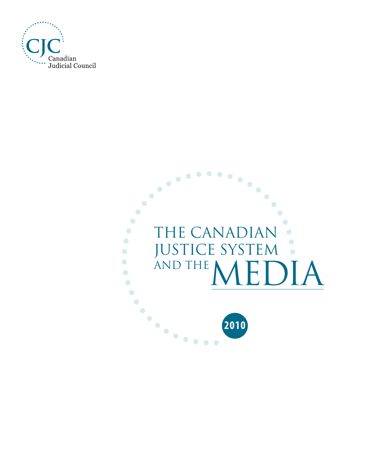

#### $\ddotsc$  $\bullet$  $\bullet$  $\bullet$  $\bullet$  $\bullet$  $\bullet$  $\bullet$  $\bullet$  $\bullet$  $\bullet$  $\bullet$ THE CANADIAN  $\bullet$  $\bullet$  $\bullet$  $\bigcirc$ JUSTICE SYSTEM JUSTICE SYSTEM .  $\bullet$  $\bigodot$  $\bullet$  $\bullet$  $\bigcirc$  $\bullet$  $\bullet$  $\bullet$  $\dddotsc$ **2010**

 $\bullet\bullet$ 

 $\bullet$  $\bullet$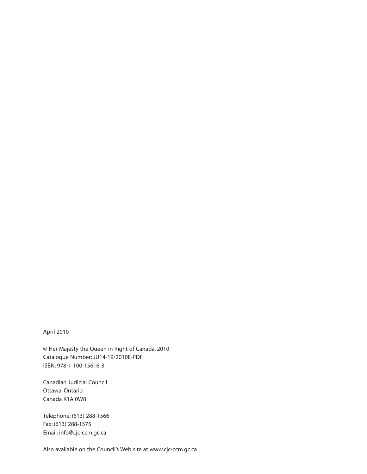#### April 2010

© Her Majesty the Queen in Right of Canada, 2010 Catalogue Number: JU14-19/2010E-PDF ISBN: 978-1-100-15616-3

Canadian Judicial Council Ottawa, Ontario Canada K1A 0W8

Telephone: (613) 288-1566 Fax: (613) 288-1575 Email: [info@cjc-ccm.gc.ca](mailto:info@cjc-ccm.gc.ca)

Also available on the Council's Web site at [www.cjc-ccm.gc.ca](http://www.cjc-ccm.gc.ca)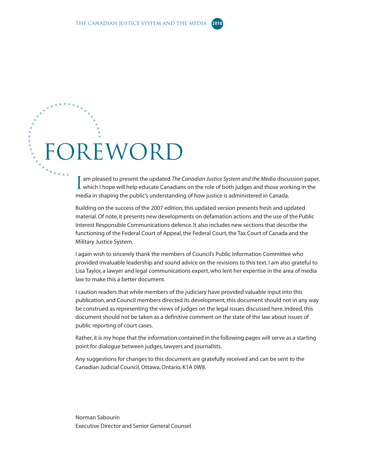# FOREWORD

I am pleased to present the updated The Canadian Justice System and the Media discussion pape<br>Which I hope will help educate Canadians on the role of both judges and those working in the am pleased to present the updated *The Canadian Justice System and the Media* discussion paper, media in shaping the public's understanding of how justice is administered in Canada.

Building on the success of the 2007 edition, this updated version presents fresh and updated material. Of note, it presents new developments on defamation actions and the use of the Public Interest Responsible Communications defence. It also includes new sections that describe the functioning of the Federal Court of Appeal, the Federal Court, the Tax Court of Canada and the Military Justice System.

I again wish to sincerely thank the members of Council's Public Information Committee who provided invaluable leadership and sound advice on the revisions to this text. I am also grateful to Lisa Taylor, a lawyer and legal communications expert, who lent her expertise in the area of media law to make this a better document.

I caution readers that while members of the judiciary have provided valuable input into this publication, and Council members directed its development, this document should not in any way be construed as representing the views of judges on the legal issues discussed here. Indeed, this document should not be taken as a definitive comment on the state of the law about issues of public reporting of court cases.

Rather, it is my hope that the information contained in the following pages will serve as a starting point for dialogue between judges, lawyers and journalists.

Any suggestions for changes to this document are gratefully received and can be sent to the Canadian Judicial Council, Ottawa, Ontario, K1A 0W8.

Norman Sabourin Executive Director and Senior General Counsel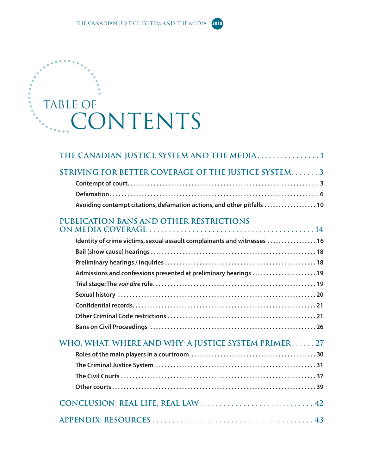# Table of CONTENTS

| STRIVING FOR BETTER COVERAGE OF THE JUSTICE SYSTEM3                      |  |
|--------------------------------------------------------------------------|--|
|                                                                          |  |
|                                                                          |  |
| Avoiding contempt citations, defamation actions, and other pitfalls  10  |  |
| <b>PUBLICATION BANS AND OTHER RESTRICTIONS</b>                           |  |
| Identity of crime victims, sexual assault complainants and witnesses  16 |  |
|                                                                          |  |
|                                                                          |  |
| Admissions and confessions presented at preliminary hearings  19         |  |
|                                                                          |  |
|                                                                          |  |
|                                                                          |  |
|                                                                          |  |
|                                                                          |  |
| WHO, WHAT, WHERE AND WHY: A JUSTICE SYSTEM PRIMER27                      |  |
|                                                                          |  |
|                                                                          |  |
|                                                                          |  |
|                                                                          |  |
|                                                                          |  |
|                                                                          |  |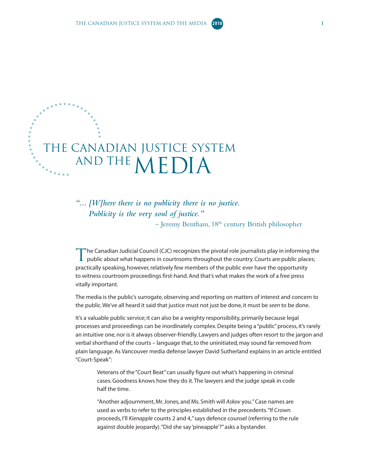## <span id="page-6-0"></span>The Canadian Justice System AND THE MEDIA

*"... [W]here there is no publicity there is no justice. Publicity is the very soul of justice."*

 $-$  Jeremy Bentham,  $18<sup>th</sup>$  century British philosopher

The Canadian Judicial Council (CJC) recognizes the pivotal role journalists play in informing the public about what happens in courtrooms throughout the country. Courts are public places; practically speaking, however, relatively few members of the public ever have the opportunity to witness courtroom proceedings first-hand. And that's what makes the work of a free press vitally important.

The media is the public's surrogate, observing and reporting on matters of interest and concern to the public. We've all heard it said that justice must not just be done, it must be *seen* to be done.

It's a valuable public service; it can also be a weighty responsibility, primarily because legal processes and proceedings can be inordinately complex. Despite being a "public" process, it's rarely an intuitive one, nor is it always observer-friendly. Lawyers and judges often resort to the jargon and verbal shorthand of the courts – language that, to the uninitiated, may sound far removed from plain language. As Vancouver media defense lawyer David Sutherland explains in an article entitled "Court-Speak":

Veterans of the "Court Beat" can usually figure out what's happening in criminal cases. Goodness knows how they do it. The lawyers and the judge speak in code half the time.

"Another adjournment, Mr. Jones, and Ms. Smith will *Askov* you." Case names are used as verbs to refer to the principles established in the precedents. "If Crown proceeds, I'll *Kienapple* counts 2 and 4," says defence counsel (referring to the rule against double jeopardy). "Did she say 'pineapple'?" asks a bystander.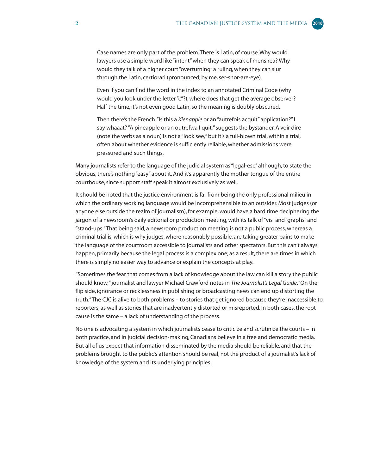Case names are only part of the problem. There is Latin, of course. Why would lawyers use a simple word like "intent" when they can speak of mens rea? Why would they talk of a higher court "overturning" a ruling, when they can slur through the Latin, certiorari (pronounced, by me, ser-shor-are-eye).

Even if you can find the word in the index to an annotated Criminal Code (why would you look under the letter "c"?), where does that get the average observer? Half the time, it's not even good Latin, so the meaning is doubly obscured.

Then there's the French. "Is this a *Kienapple* or an "autrefois acquit" application?" I say whaaat? "A pineapple or an outrefwa I quit," suggests the bystander. A voir dire (note the verbs as a noun) is not a "look see," but it's a full-blown trial, within a trial, often about whether evidence is sufficiently reliable, whether admissions were pressured and such things.

Many journalists refer to the language of the judicial system as "legal-ese" although, to state the obvious, there's nothing "easy" about it. And it's apparently the mother tongue of the entire courthouse, since support staff speak it almost exclusively as well.

It should be noted that the justice environment is far from being the only professional milieu in which the ordinary working language would be incomprehensible to an outsider. Most judges (or anyone else outside the realm of journalism), for example, would have a hard time deciphering the jargon of a newsroom's daily editorial or production meeting, with its talk of "vis" and "graphs" and "stand-ups." That being said, a newsroom production meeting is not a public process, whereas a criminal trial is, which is why judges, where reasonably possible, are taking greater pains to make the language of the courtroom accessible to journalists and other spectators. But this can't always happen, primarily because the legal process is a complex one; as a result, there are times in which there is simply no easier way to advance or explain the concepts at play.

"Sometimes the fear that comes from a lack of knowledge about the law can kill a story the public should know," journalist and lawyer Michael Crawford notes in *The Journalist's Legal Guide*. "On the flip side, ignorance or recklessness in publishing or broadcasting news can end up distorting the truth." The CJC is alive to both problems – to stories that get ignored because they're inaccessible to reporters, as well as stories that are inadvertently distorted or misreported. In both cases, the root cause is the same – a lack of understanding of the process.

No one is advocating a system in which journalists cease to criticize and scrutinize the courts – in both practice, and in judicial decision-making, Canadians believe in a free and democratic media. But all of us expect that information disseminated by the media should be reliable, and that the problems brought to the public's attention should be real, not the product of a journalist's lack of knowledge of the system and its underlying principles.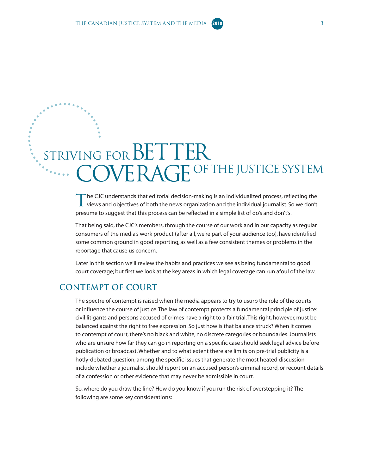### <span id="page-8-0"></span>STRIVING FOR BETTER COVERAGE OF THE JUSTICE SYSTEM

The CJC understands that editorial decision-making is an individualized process, reflecting the<br>views and objectives of both the news organization and the individual journalist. So we don't presume to suggest that this process can be reflected in a simple list of do's and don't's.

That being said, the CJC's members, through the course of our work and in our capacity as regular consumers of the media's work product (after all, we're part of your audience too), have identified some common ground in good reporting, as well as a few consistent themes or problems in the reportage that cause us concern.

Later in this section we'll review the habits and practices we see as being fundamental to good court coverage; but first we look at the key areas in which legal coverage can run afoul of the law.

#### **Contempt of court**

The spectre of contempt is raised when the media appears to try to usurp the role of the courts or influence the course of justice. The law of contempt protects a fundamental principle of justice: civil litigants and persons accused of crimes have a right to a fair trial. This right, however, must be balanced against the right to free expression. So just how is that balance struck? When it comes to contempt of court, there's no black and white, no discrete categories or boundaries. Journalists who are unsure how far they can go in reporting on a specific case should seek legal advice before publication or broadcast. Whether and to what extent there are limits on pre-trial publicity is a hotly-debated question; among the specific issues that generate the most heated discussion include whether a journalist should report on an accused person's criminal record, or recount details of a confession or other evidence that may never be admissible in court.

So, where do you draw the line? How do you know if you run the risk of overstepping it? The following are some key considerations: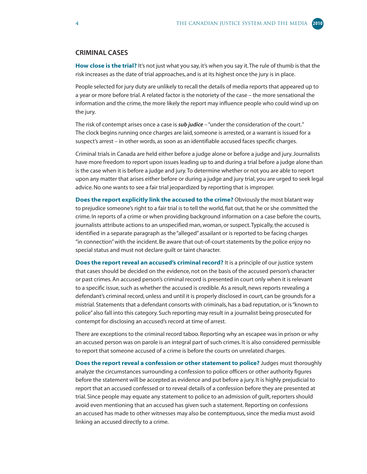#### **CRIMINAL CASES**

**How close is the trial?** It's not just what you say, it's when you say it. The rule of thumb is that the risk increases as the date of trial approaches, and is at its highest once the jury is in place.

People selected for jury duty are unlikely to recall the details of media reports that appeared up to a year or more before trial. A related factor is the notoriety of the case – the more sensational the information and the crime, the more likely the report may influence people who could wind up on the jury.

The risk of contempt arises once a case is *sub judice* – "under the consideration of the court." The clock begins running once charges are laid, someone is arrested, or a warrant is issued for a suspect's arrest – in other words, as soon as an identifiable accused faces specific charges.

Criminal trials in Canada are held either before a judge alone or before a judge and jury. Journalists have more freedom to report upon issues leading up to and during a trial before a judge alone than is the case when it is before a judge and jury. To determine whether or not you are able to report upon any matter that arises either before or during a judge and jury trial, you are urged to seek legal advice. No one wants to see a fair trial jeopardized by reporting that is improper.

**Does the report explicitly link the accused to the crime?** Obviously the most blatant way to prejudice someone's right to a fair trial is to tell the world, flat out, that he or she committed the crime. In reports of a crime or when providing background information on a case before the courts, journalists attribute actions to an unspecified man, woman, or suspect. Typically, the accused is identified in a separate paragraph as the "alleged" assailant or is reported to be facing charges "in connection" with the incident. Be aware that out-of-court statements by the police enjoy no special status and must not declare guilt or taint character.

**Does the report reveal an accused's criminal record?** It is a principle of our justice system that cases should be decided on the evidence, not on the basis of the accused person's character or past crimes. An accused person's criminal record is presented in court only when it is relevant to a specific issue, such as whether the accused is credible. As a result, news reports revealing a defendant's criminal record, unless and until it is properly disclosed in court, can be grounds for a mistrial. Statements that a defendant consorts with criminals, has a bad reputation, or is "known to police" also fall into this category. Such reporting may result in a journalist being prosecuted for contempt for disclosing an accused's record at time of arrest.

There are exceptions to the criminal record taboo. Reporting why an escapee was in prison or why an accused person was on parole is an integral part of such crimes. It is also considered permissible to report that someone accused of a crime is before the courts on unrelated charges.

**Does the report reveal a confession or other statement to police?** Judges must thoroughly analyze the circumstances surrounding a confession to police officers or other authority figures before the statement will be accepted as evidence and put before a jury. It is highly prejudicial to report that an accused confessed or to reveal details of a confession before they are presented at trial. Since people may equate any statement to police to an admission of guilt, reporters should avoid even mentioning that an accused has given such a statement. Reporting on confessions an accused has made to other witnesses may also be contemptuous, since the media must avoid linking an accused directly to a crime.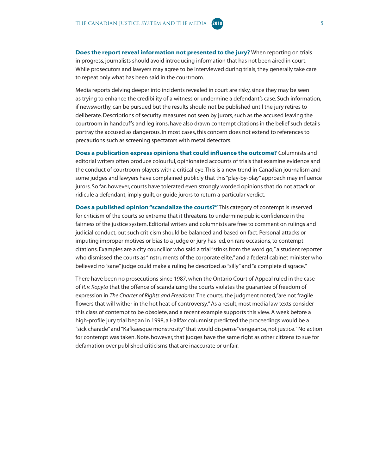**Does the report reveal information not presented to the jury?** When reporting on trials in progress, journalists should avoid introducing information that has not been aired in court. While prosecutors and lawyers may agree to be interviewed during trials, they generally take care to repeat only what has been said in the courtroom.

Media reports delving deeper into incidents revealed in court are risky, since they may be seen as trying to enhance the credibility of a witness or undermine a defendant's case. Such information, if newsworthy, can be pursued but the results should not be published until the jury retires to deliberate. Descriptions of security measures not seen by jurors, such as the accused leaving the courtroom in handcuffs and leg irons, have also drawn contempt citations in the belief such details portray the accused as dangerous. In most cases, this concern does not extend to references to precautions such as screening spectators with metal detectors.

**Does a publication express opinions that could influence the outcome?** Columnists and editorial writers often produce colourful, opinionated accounts of trials that examine evidence and the conduct of courtroom players with a critical eye. This is a new trend in Canadian journalism and some judges and lawyers have complained publicly that this "play-by-play" approach may influence jurors. So far, however, courts have tolerated even strongly worded opinions that do not attack or ridicule a defendant, imply guilt, or guide jurors to return a particular verdict.

**Does a published opinion "scandalize the courts?"** This category of contempt is reserved for criticism of the courts so extreme that it threatens to undermine public confidence in the fairness of the justice system. Editorial writers and columnists are free to comment on rulings and judicial conduct, but such criticism should be balanced and based on fact. Personal attacks or imputing improper motives or bias to a judge or jury has led, on rare occasions, to contempt citations. Examples are a city councillor who said a trial "stinks from the word go," a student reporter who dismissed the courts as "instruments of the corporate elite," and a federal cabinet minister who believed no "sane" judge could make a ruling he described as "silly" and "a complete disgrace."

There have been no prosecutions since 1987, when the Ontario Court of Appeal ruled in the case of *R. v. Kopyto* that the offence of scandalizing the courts violates the guarantee of freedom of expression in *The Charter of Rights and Freedoms*. The courts, the judgment noted, "are not fragile flowers that will wither in the hot heat of controversy." As a result, most media law texts consider this class of contempt to be obsolete, and a recent example supports this view. A week before a high-profile jury trial began in 1998, a Halifax columnist predicted the proceedings would be a "sick charade" and "Kafkaesque monstrosity" that would dispense"vengeance, not justice." No action for contempt was taken. Note, however, that judges have the same right as other citizens to sue for defamation over published criticisms that are inaccurate or unfair.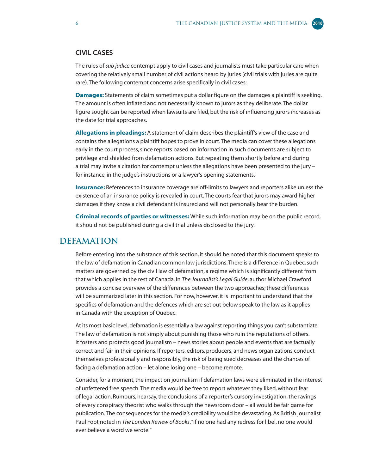#### <span id="page-11-0"></span>**CIVIL CASES**

The rules of *sub judice* contempt apply to civil cases and journalists must take particular care when covering the relatively small number of civil actions heard by juries (civil trials with juries are quite rare). The following contempt concerns arise specifically in civil cases:

**Damages:** Statements of claim sometimes put a dollar figure on the damages a plaintiff is seeking. The amount is often inflated and not necessarily known to jurors as they deliberate. The dollar figure sought can be reported when lawsuits are filed, but the risk of influencing jurors increases as the date for trial approaches.

**Allegations in pleadings:** A statement of claim describes the plaintiff's view of the case and contains the allegations a plaintiff hopes to prove in court. The media can cover these allegations early in the court process, since reports based on information in such documents are subject to privilege and shielded from defamation actions. But repeating them shortly before and during a trial may invite a citation for contempt unless the allegations have been presented to the jury – for instance, in the judge's instructions or a lawyer's opening statements.

**Insurance:** References to insurance coverage are off-limits to lawyers and reporters alike unless the existence of an insurance policy is revealed in court. The courts fear that jurors may award higher damages if they know a civil defendant is insured and will not personally bear the burden.

**Criminal records of parties or witnesses:** While such information may be on the public record, it should not be published during a civil trial unless disclosed to the jury.

#### **DEFAMATION**

Before entering into the substance of this section, it should be noted that this document speaks to the law of defamation in Canadian common law jurisdictions. There is a difference in Quebec, such matters are governed by the civil law of defamation, a regime which is significantly different from that which applies in the rest of Canada. In *The Journalist's Legal Guide*, author Michael Crawford provides a concise overview of the differences between the two approaches; these differences will be summarized later in this section. For now, however, it is important to understand that the specifics of defamation and the defences which are set out below speak to the law as it applies in Canada with the exception of Quebec.

At its most basic level, defamation is essentially a law against reporting things you can't substantiate. The law of defamation is not simply about punishing those who ruin the reputations of others. It fosters and protects good journalism – news stories about people and events that are factually correct and fair in their opinions. If reporters, editors, producers, and news organizations conduct themselves professionally and responsibly, the risk of being sued decreases and the chances of facing a defamation action – let alone losing one – become remote.

Consider, for a moment, the impact on journalism if defamation laws were eliminated in the interest of unfettered free speech. The media would be free to report whatever they liked, without fear of legal action. Rumours, hearsay, the conclusions of a reporter's cursory investigation, the ravings of every conspiracy theorist who walks through the newsroom door – all would be fair game for publication. The consequences for the media's credibility would be devastating. As British journalist Paul Foot noted in *The London Review of Books*, "if no one had any redress for libel, no one would ever believe a word we wrote."

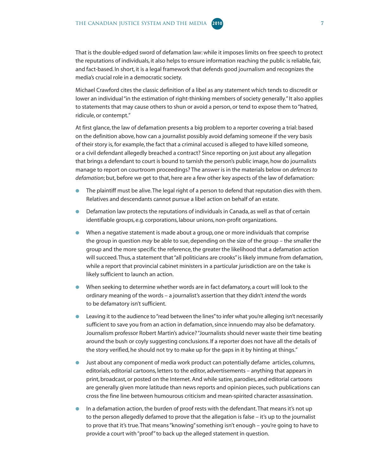That is the double-edged sword of defamation law: while it imposes limits on free speech to protect the reputations of individuals, it also helps to ensure information reaching the public is reliable, fair, and fact-based. In short, it is a legal framework that defends good journalism and recognizes the media's crucial role in a democratic society.

Michael Crawford cites the classic definition of a libel as any statement which tends to discredit or lower an individual "in the estimation of right-thinking members of society generally." It also applies to statements that may cause others to shun or avoid a person, or tend to expose them to "hatred, ridicule, or contempt."

At first glance, the law of defamation presents a big problem to a reporter covering a trial: based on the definition above, how can a journalist possibly avoid defaming someone if the very basis of their story is, for example, the fact that a criminal accused is alleged to have killed someone, or a civil defendant allegedly breached a contract? Since reporting on just about any allegation that brings a defendant to court is bound to tarnish the person's public image, how do journalists manage to report on courtroom proceedings? The answer is in the materials below on *defences to defamation*; but, before we get to that, here are a few other key aspects of the law of defamation:

- The plaintiff must be alive. The legal right of a person to defend that reputation dies with them. Relatives and descendants cannot pursue a libel action on behalf of an estate.
- Defamation law protects the reputations of individuals in Canada, as well as that of certain identifiable groups, e.g. corporations, labour unions, non-profit organizations.
- When a negative statement is made about a group, one or more individuals that comprise the group in question *may* be able to sue, depending on the size of the group – the smaller the group and the more specific the reference, the greater the likelihood that a defamation action will succeed. Thus, a statement that "all politicians are crooks" is likely immune from defamation, while a report that provincial cabinet ministers in a particular jurisdiction are on the take is likely sufficient to launch an action.
- When seeking to determine whether words are in fact defamatory, a court will look to the ordinary meaning of the words – a journalist's assertion that they didn't *intend* the words to be defamatory isn't sufficient.
- Leaving it to the audience to "read between the lines" to infer what you're alleging isn't necessarily sufficient to save you from an action in defamation, since innuendo may also be defamatory. Journalism professor Robert Martin's advice? "Journalists should never waste their time beating around the bush or coyly suggesting conclusions. If a reporter does not have all the details of the story verified, he should not try to make up for the gaps in it by hinting at things."
- Just about any component of media work product can potentially defame articles, columns, editorials, editorial cartoons, letters to the editor, advertisements – anything that appears in print, broadcast, or posted on the Internet. And while satire, parodies, and editorial cartoons are generally given more latitude than news reports and opinion pieces, such publications can cross the fine line between humourous criticism and mean-spirited character assassination.
- In a defamation action, the burden of proof rests with the defendant. That means it's not up to the person allegedly defamed to prove that the allegation is false – it's up to the journalist to prove that it's true. That means "knowing" something isn't enough – you're going to have to provide a court with "proof" to back up the alleged statement in question.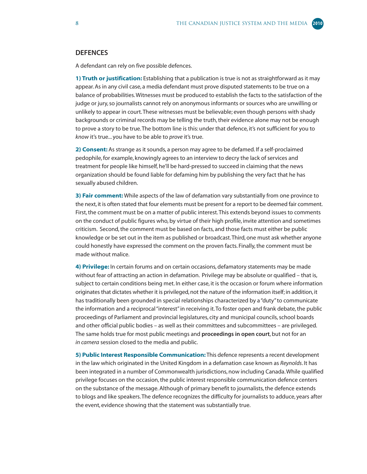#### **DEFENCES**

A defendant can rely on five possible defences.

**1) Truth or justification:** Establishing that a publication is true is not as straightforward as it may appear. As in any civil case, a media defendant must prove disputed statements to be true on a balance of probabilities. Witnesses must be produced to establish the facts to the satisfaction of the judge or jury, so journalists cannot rely on anonymous informants or sources who are unwilling or unlikely to appear in court. These witnesses must be believable; even though persons with shady backgrounds or criminal records may be telling the truth, their evidence alone may not be enough to prove a story to be true. The bottom line is this: under that defence, it's not sufficient for you to *know* it's true... you have to be able to *prove* it's true.

**2) Consent:** As strange as it sounds, a person may agree to be defamed. If a self-proclaimed pedophile, for example, knowingly agrees to an interview to decry the lack of services and treatment for people like himself, he'll be hard-pressed to succeed in claiming that the news organization should be found liable for defaming him by publishing the very fact that he has sexually abused children.

**3) Fair comment:** While aspects of the law of defamation vary substantially from one province to the next, it is often stated that four elements must be present for a report to be deemed fair comment. First, the comment must be on a matter of public interest. This extends beyond issues to comments on the conduct of public figures who, by virtue of their high profile, invite attention and sometimes criticism. Second, the comment must be based on facts, and those facts must either be public knowledge or be set out in the item as published or broadcast. Third, one must ask whether anyone could honestly have expressed the comment on the proven facts. Finally, the comment must be made without malice.

**4) Privilege:** In certain forums and on certain occasions, defamatory statements may be made without fear of attracting an action in defamation. Privilege may be absolute or qualified – that is, subject to certain conditions being met. In either case, it is the occasion or forum where information originates that dictates whether it is privileged, not the nature of the information itself; in addition, it has traditionally been grounded in special relationships characterized by a "duty" to communicate the information and a reciprocal "interest" in receiving it. To foster open and frank debate, the public proceedings of Parliament and provincial legislatures, city and municipal councils, school boards and other official public bodies – as well as their committees and subcommittees – are privileged. The same holds true for most public meetings and **proceedings in open court**, but not for an *in camera* session closed to the media and public.

**5) Public Interest Responsible Communication:** This defence represents a recent development in the law which originated in the United Kingdom in a defamation case known as *Reynolds*. It has been integrated in a number of Commonwealth jurisdictions, now including Canada. While qualified privilege focuses on the occasion, the public interest responsible communication defence centers on the substance of the message. Although of primary benefit to journalists, the defence extends to blogs and like speakers. The defence recognizes the difficulty for journalists to adduce, years after the event, evidence showing that the statement was substantially true.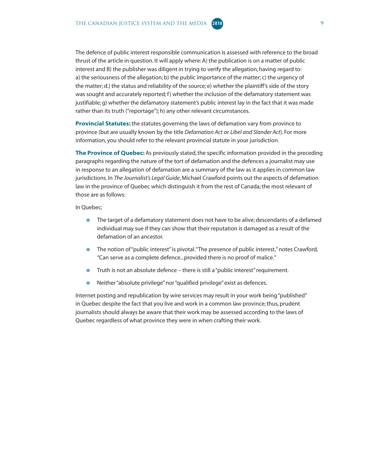The defence of public interest responsible communication is assessed with reference to the broad thrust of the article in question. It will apply where: A) the publication is on a matter of public interest and B) the publisher was diligent in trying to verify the allegation, having regard to: a) the seriousness of the allegation; b) the public importance of the matter; c) the urgency of the matter; d.) the status and reliability of the source; e) whether the plaintiff's side of the story was sought and accurately reported;  $f$ ) whether the inclusion of the defamatory statement was justifiable; g) whether the defamatory statement's public interest lay in the fact that it was made rather than its truth ("reportage"); h) any other relevant circumstances.

**Provincial Statutes:** the statutes governing the laws of defamation vary from province to province (but are usually known by the title *Defamation Act* or *Libel and Slander Act*). For more information, you should refer to the relevant provincial statute in your jurisdiction.

**The Province of Quebec:** As previously stated, the specific information provided in the preceding paragraphs regarding the nature of the tort of defamation and the defences a journalist may use in response to an allegation of defamation are a summary of the law as it applies in common law jurisdictions. In *The Journalist's Legal Guide*, Michael Crawford points out the aspects of defamation law in the province of Quebec which distinguish it from the rest of Canada; the most relevant of those are as follows:

#### In Quebec;

- The target of a defamatory statement does not have to be alive; descendants of a defamed individual may sue if they can show that their reputation is damaged as a result of the defamation of an ancestor.
- The notion of "public interest" is pivotal. "The presence of public interest," notes Crawford, "Can serve as a complete defence...provided there is no proof of malice."
- Truth is not an absolute defence there is still a "public interest" requirement.
- Neither "absolute privilege" nor "qualified privilege" exist as defences.

Internet posting and republication by wire services may result in your work being "published" in Quebec despite the fact that you live and work in a common law province; thus, prudent journalists should always be aware that their work may be assessed according to the laws of Quebec regardless of what province they were in when crafting their work.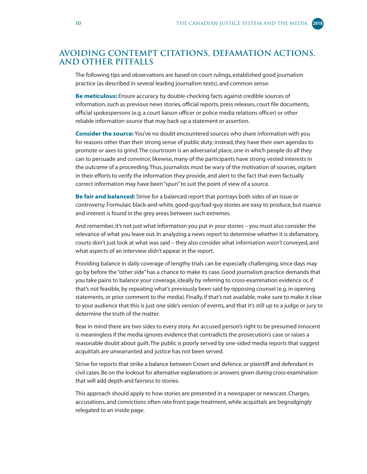#### <span id="page-15-0"></span>**AVOIDING CONTEMPT CITATIONS, DEFAMATION ACTIONS, AND OTHER PITFALLS**

The following tips and observations are based on court rulings, established good journalism practice (as described in several leading journalism texts), and common sense:

**Be meticulous:** Ensure accuracy by double-checking facts against credible sources of information, such as previous news stories, official reports, press releases, court file documents, official spokespersons (e.g. a court liaison officer or police media relations officer) or other reliable information source that may back up a statement or assertion.

**Consider the source:** You've no doubt encountered sources who share information with you for reasons other than their strong sense of public duty; instead, they have their own agendas to promote or axes to grind. The courtroom is an adversarial place, one in which people do all they can to persuade and convince; likewise, many of the participants have strong vested interests in the outcome of a proceeding. Thus, journalists must be wary of the motivation of sources, vigilant in their efforts to verify the information they provide, and alert to the fact that even factually correct information may have been "spun" to suit the point of view of a source.

**Be fair and balanced:** Strive for a balanced report that portrays both sides of an issue or controversy. Formulaic black-and-white, good-guy/bad-guy stories are easy to produce, but nuance and interest is found in the grey areas between such extremes.

And remember, it's not just what information you put in your stories – you must also consider the relevance of what you leave out. In analyzing a news report to determine whether it is defamatory, courts don't just look at what was said – they also consider what information *wasn't* conveyed, and what aspects of an interview *didn't* appear in the report.

Providing balance in daily coverage of lengthy trials can be especially challenging, since days may go by before the "other side" has a chance to make its case. Good journalism practice demands that you take pains to balance your coverage, ideally by referring to cross-examination evidence or, if that's not feasible, by repeating what's previously been said by opposing counsel (e.g. in opening statements, or prior comment to the media). Finally, if that's not available, make sure to make it clear to your audience that this is just one side's version of events, and that it's still up to a judge or jury to determine the truth of the matter.

Bear in mind there are two sides to every story. An accused person's right to be presumed innocent is meaningless if the media ignores evidence that contradicts the prosecution's case or raises a reasonable doubt about guilt. The public is poorly served by one-sided media reports that suggest acquittals are unwarranted and justice has not been served.

Strive for reports that strike a balance between Crown and defence, or plaintiff and defendant in civil cases. Be on the lookout for alternative explanations or answers given during cross-examination that will add depth and fairness to stories.

This approach should apply to how stories are presented in a newspaper or newscast. Charges, accusations, and convictions often rate front-page treatment, while acquittals are begrudgingly relegated to an inside page.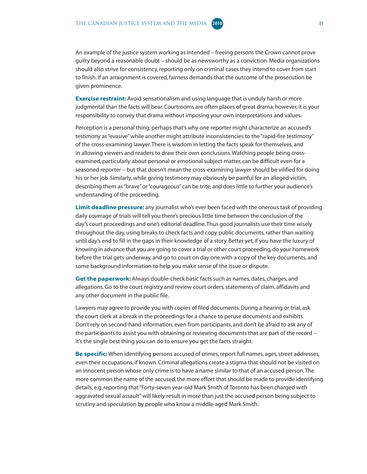

**Exercise restraint:** Avoid sensationalism and using language that is unduly harsh or more judgmental than the facts will bear. Courtrooms are often places of great drama; however, it is your responsibility to convey that drama without imposing your own interpretations and values.

Perception is a personal thing; perhaps that's why one reporter might characterize an accused's testimony as "evasive" while another might attribute inconsistencies to the "rapid-fire testimony" of the cross-examining lawyer. There is wisdom in letting the facts speak for themselves, and in allowing viewers and readers to draw their own conclusions. Watching people being crossexamined, particularly about personal or emotional subject matter, can be difficult even for a seasoned reporter – but that doesn't mean the cross-examining lawyer should be vilified for doing his or her job. Similarly, while giving testimony may obviously be painful for an alleged victim, describing them as "brave" or "courageous" can be trite, and does little to further your audience's understanding of the proceeding.

**Limit deadline pressure:** any journalist who's ever been faced with the onerous task of providing daily coverage of trials will tell you there's precious little time between the conclusion of the day's court proceedings and one's editorial deadline. Thus good journalists use their time wisely throughout the day, using breaks to check facts and copy public documents, rather than waiting until day's end to fill in the gaps in their knowledge of a story. Better yet, if you have the luxury of knowing in advance that you are going to cover a trial or other court proceeding, do your homework before the trial gets underway, and go to court on day one with a copy of the key documents, and some background information to help you make sense of the issue or dispute.

**Get the paperwork:** Always double-check basic facts such as names, dates, charges, and allegations. Go to the court registry and review court orders, statements of claim, affidavits and any other document in the public file.

Lawyers may agree to provide you with copies of filed documents. During a hearing or trial, ask the court clerk at a break in the proceedings for a chance to peruse documents and exhibits. Don't rely on second-hand information, even from participants, and don't be afraid to ask any of the participants to assist you with obtaining or reviewing documents that are part of the record – it's the single best thing you can do to ensure you get the facts straight.

**Be specific:** When identifying persons accused of crimes, report full names, ages, street addresses, even their occupations, if known. Criminal allegations create a stigma that should not be visited on an innocent person whose only crime is to have a name similar to that of an accused person. The more common the name of the accused, the more effort that should be made to provide identifying details, e.g. reporting that "Forty-seven year-old Mark Smith of Toronto has been charged with aggravated sexual assault" will likely result in more than just the accused person being subject to scrutiny and speculation by people who know a middle-aged Mark Smith.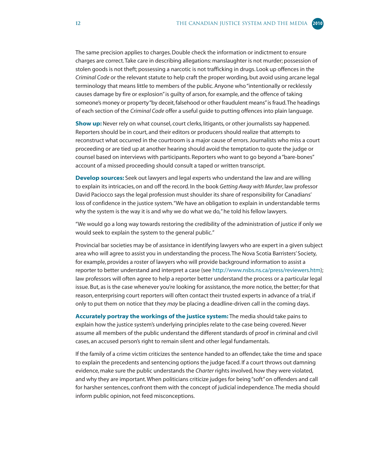The same precision applies to charges. Double check the information or indictment to ensure charges are correct. Take care in describing allegations: manslaughter is not murder; possession of stolen goods is not theft; possessing a narcotic is not trafficking in drugs. Look up offences in the *Criminal Code* or the relevant statute to help craft the proper wording, but avoid using arcane legal terminology that means little to members of the public. Anyone who "intentionally or recklessly causes damage by fire or explosion" is guilty of arson, for example, and the offence of taking someone's money or property "by deceit, falsehood or other fraudulent means" is fraud. The headings of each section of the *Criminal Code* offer a useful guide to putting offences into plain language.

**Show up:** Never rely on what counsel, court clerks, litigants, or other journalists say happened. Reporters should be in court, and their editors or producers should realize that attempts to reconstruct what occurred in the courtroom is a major cause of errors. Journalists who miss a court proceeding or are tied up at another hearing should avoid the temptation to quote the judge or counsel based on interviews with participants. Reporters who want to go beyond a "bare-bones" account of a missed proceeding should consult a taped or written transcript.

**Develop sources:** Seek out lawyers and legal experts who understand the law and are willing to explain its intricacies, on and off the record. In the book *Getting Away with Murder*, law professor David Paciocco says the legal profession must shoulder its share of responsibility for Canadians' loss of confidence in the justice system. "We have an obligation to explain in understandable terms why the system is the way it is and why we do what we do," he told his fellow lawyers.

"We would go a long way towards restoring the credibility of the administration of justice if only we would seek to explain the system to the general public."

Provincial bar societies may be of assistance in identifying lawyers who are expert in a given subject area who will agree to assist you in understanding the process. The Nova Scotia Barristers' Society, for example, provides a roster of lawyers who will provide background information to assist a reporter to better understand and interpret a case (see [http://www.nsbs.ns.ca/press/reviewers.htm\);](http://www.nsbs.ns.ca/press/reviewers.htm) law professors will often agree to help a reporter better understand the process or a particular legal issue. But, as is the case whenever you're looking for assistance, the more notice, the better; for that reason, enterprising court reporters will often contact their trusted experts in advance of a trial, if only to put them on notice that they *may* be placing a deadline-driven call in the coming days.

**Accurately portray the workings of the justice system:** The media should take pains to explain how the justice system's underlying principles relate to the case being covered. Never assume all members of the public understand the different standards of proof in criminal and civil cases, an accused person's right to remain silent and other legal fundamentals.

If the family of a crime victim criticizes the sentence handed to an offender, take the time and space to explain the precedents and sentencing options the judge faced. If a court throws out damning evidence, make sure the public understands the *Charter* rights involved, how they were violated, and why they are important. When politicians criticize judges for being "soft" on offenders and call for harsher sentences, confront them with the concept of judicial independence. The media should inform public opinion, not feed misconceptions.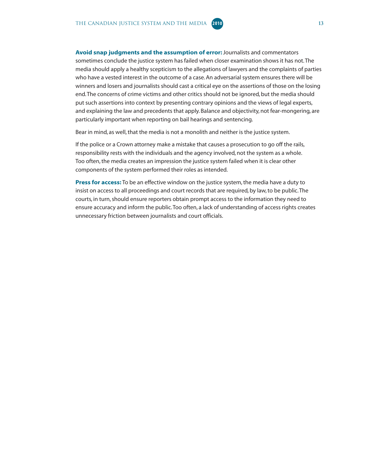

Bear in mind, as well, that the media is not a monolith and neither is the justice system.

If the police or a Crown attorney make a mistake that causes a prosecution to go off the rails, responsibility rests with the individuals and the agency involved, not the system as a whole. Too often, the media creates an impression the justice system failed when it is clear other components of the system performed their roles as intended.

**Press for access:** To be an effective window on the justice system, the media have a duty to insist on access to all proceedings and court records that are required, by law, to be public. The courts, in turn, should ensure reporters obtain prompt access to the information they need to ensure accuracy and inform the public. Too often, a lack of understanding of access rights creates unnecessary friction between journalists and court officials.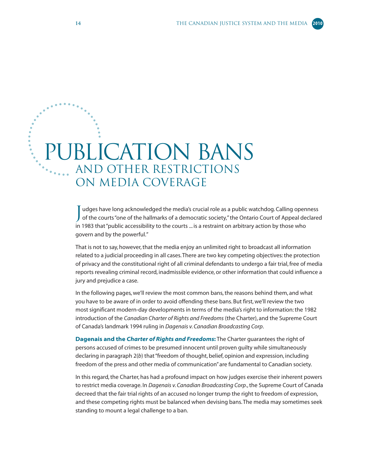### <span id="page-19-0"></span>**JBLICATION BANS** and OTHER RESTRICTIONS on MEDIA COVERAGE

udges have long acknowledged the media's crucial role as a public watchdog. Calling openness of the courts "one of the hallmarks of a democratic society," the Ontario Court of Appeal declared in 1983 that "public accessibility to the courts ... is a restraint on arbitrary action by those who govern and by the powerful."

That is not to say, however, that the media enjoy an unlimited right to broadcast all information related to a judicial proceeding in all cases. There are two key competing objectives: the protection of privacy and the constitutional right of all criminal defendants to undergo a fair trial, free of media reports revealing criminal record, inadmissible evidence, or other information that could influence a jury and prejudice a case.

In the following pages, we'll review the most common bans, the reasons behind them, and what you have to be aware of in order to avoid offending these bans. But first, we'll review the two most significant modern-day developments in terms of the media's right to information: the 1982 introduction of the *Canadian Charter of Rights and Freedoms* (the Charter), and the Supreme Court of Canada's landmark 1994 ruling in *Dagenais v. Canadian Broadcasting Corp*.

**Dagenais and the** *Charter of Rights and Freedoms***:** The Charter guarantees the right of persons accused of crimes to be presumed innocent until proven guilty while simultaneously declaring in paragraph 2(*b*) that "freedom of thought, belief, opinion and expression, including freedom of the press and other media of communication" are fundamental to Canadian society.

In this regard, the Charter, has had a profound impact on how judges exercise their inherent powers to restrict media coverage. In *Dagenais v. Canadian Broadcasting Corp*., the Supreme Court of Canada decreed that the fair trial rights of an accused no longer trump the right to freedom of expression, and these competing rights must be balanced when devising bans. The media may sometimes seek standing to mount a legal challenge to a ban.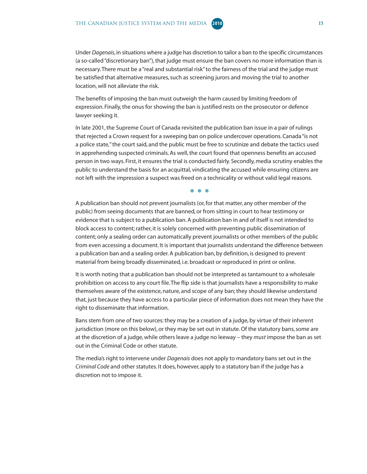Under *Dagenais*, in situations where a judge has discretion to tailor a ban to the specific circumstances (a so-called "discretionary ban"), that judge must ensure the ban covers no more information than is necessary. There must be a "real and substantial risk" to the fairness of the trial and the judge must be satisfied that alternative measures, such as screening jurors and moving the trial to another location, will not alleviate the risk.

The benefits of imposing the ban must outweigh the harm caused by limiting freedom of expression. Finally, the onus for showing the ban is justified rests on the prosecutor or defence lawyer seeking it.

In late 2001, the Supreme Court of Canada revisited the publication ban issue in a pair of rulings that rejected a Crown request for a sweeping ban on police undercover operations. Canada "is not a police state," the court said, and the public must be free to scrutinize and debate the tactics used in apprehending suspected criminals. As well, the court found that openness benefits an accused person in two ways. First, it ensures the trial is conducted fairly. Secondly, media scrutiny enables the public to understand the basis for an acquittal, vindicating the accused while ensuring citizens are not left with the impression a suspect was freed on a technicality or without valid legal reasons.

● ● ●

A publication ban should not prevent journalists (or, for that matter, any other member of the public) from seeing documents that are banned, or from sitting in court to hear testimony or evidence that is subject to a publication ban. A publication ban in and of itself is not intended to block access to content; rather, it is solely concerned with preventing public dissemination of content; only a sealing order can automatically prevent journalists or other members of the public from even accessing a document. It is important that journalists understand the difference between a publication ban and a sealing order. A publication ban, by definition, is designed to prevent material from being broadly disseminated, i.e. broadcast or reproduced in print or online.

It is worth noting that a publication ban should not be interpreted as tantamount to a wholesale prohibition on access to any court file. The flip side is that journalists have a responsibility to make themselves aware of the existence, nature, and scope of any ban; they should likewise understand that, just because they have access to a particular piece of information does not mean they have the right to disseminate that information.

Bans stem from one of two sources: they may be a creation of a judge, by virtue of their inherent jurisdiction (more on this below), or they may be set out in statute. Of the statutory bans, some are at the discretion of a judge, while others leave a judge no leeway – they *must* impose the ban as set out in the Criminal Code or other statute.

The media's right to intervene under *Dagenais* does not apply to mandatory bans set out in the *Criminal Code* and other statutes. It does, however, apply to a statutory ban if the judge has a discretion not to impose it.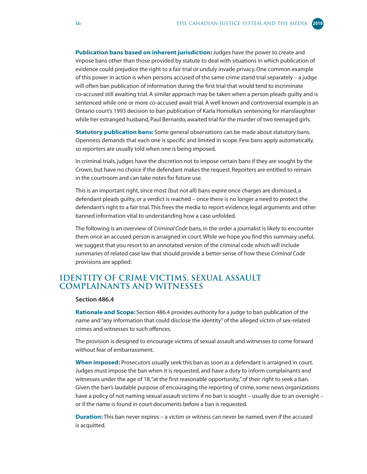<span id="page-21-0"></span>**Publication bans based on inherent jurisdiction:** Judges have the power to create and impose bans other than those provided by statute to deal with situations in which publication of evidence could prejudice the right to a fair trial or unduly invade privacy. One common example of this power in action is when persons accused of the same crime stand trial separately – a judge will often ban publication of information during the first trial that would tend to incriminate co-accused still awaiting trial. A similar approach may be taken when a person pleads guilty and is sentenced while one or more co-accused await trial. A well known and controversial example is an Ontario court's 1993 decision to ban publication of Karla Homolka's sentencing for manslaughter while her estranged husband, Paul Bernardo, awaited trial for the murder of two teenaged girls.

**Statutory publication bans:** Some general observations can be made about statutory bans. Openness demands that each one is specific and limited in scope. Few bans apply automatically, so reporters are usually told when one is being imposed.

In criminal trials, judges have the discretion not to impose certain bans if they are sought by the Crown, but have no choice if the defendant makes the request. Reporters are entitled to remain in the courtroom and can take notes for future use.

This is an important right, since most (but not all) bans expire once charges are dismissed, a defendant pleads guilty, or a verdict is reached – once there is no longer a need to protect the defendant's right to a fair trial. This frees the media to report evidence, legal arguments and other banned information vital to understanding how a case unfolded.

The following is an overview of *Criminal Code* bans, in the order a journalist is likely to encounter them once an accused person is arraigned in court. While we hope you find this summary useful, we suggest that you resort to an annotated version of the criminal code which will include summaries of related case law that should provide a better sense of how these *Criminal Code* provisions are applied:

#### **Identity of crime victims, sexual assault complainants and witnesses**

#### **Section 486.4**

**Rationale and Scope:** Section 486.4 provides authority for a judge to ban publication of the name and "any information that could disclose the identity" of the alleged victim of sex-related crimes and witnesses to such offences.

The provision is designed to encourage victims of sexual assault and witnesses to come forward without fear of embarrassment.

**When imposed:** Prosecutors usually seek this ban as soon as a defendant is arraigned in court. Judges must impose the ban when it is requested, and have a duty to inform complainants and witnesses under the age of 18, "at the first reasonable opportunity," of their right to seek a ban. Given the ban's laudable purpose of encouraging the reporting of crime, some news organizations have a policy of not naming sexual assault victims if no ban is sought – usually due to an oversight – or if the name is found in court documents before a ban is requested.

**Duration:** This ban never expires – a victim or witness can never be named, even if the accused is acquitted.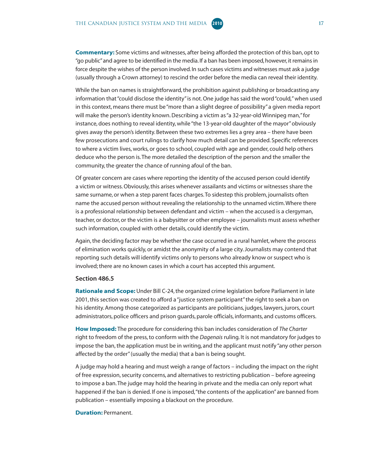**Commentary:** Some victims and witnesses, after being afforded the protection of this ban, opt to "go public" and agree to be identified in the media. If a ban has been imposed, however, it remains in force despite the wishes of the person involved. In such cases victims and witnesses must ask a judge (usually through a Crown attorney) to rescind the order before the media can reveal their identity.

While the ban on names is straightforward, the prohibition against publishing or broadcasting any information that "could disclose the identity" is not. One judge has said the word "could," when used in this context, means there must be "more than a slight degree of possibility" a given media report will make the person's identity known. Describing a victim as "a 32-year-old Winnipeg man," for instance, does nothing to reveal identity, while "the 13-year-old daughter of the mayor" obviously gives away the person's identity. Between these two extremes lies a grey area – there have been few prosecutions and court rulings to clarify how much detail can be provided. Specific references to where a victim lives, works, or goes to school, coupled with age and gender, could help others deduce who the person is. The more detailed the description of the person and the smaller the community, the greater the chance of running afoul of the ban.

Of greater concern are cases where reporting the identity of the accused person could identify a victim or witness. Obviously, this arises whenever assailants and victims or witnesses share the same surname, or when a step parent faces charges. To sidestep this problem, journalists often name the accused person without revealing the relationship to the unnamed victim. Where there is a professional relationship between defendant and victim – when the accused is a clergyman, teacher, or doctor, or the victim is a babysitter or other employee – journalists must assess whether such information, coupled with other details, could identify the victim.

Again, the deciding factor may be whether the case occurred in a rural hamlet, where the process of elimination works quickly, or amidst the anonymity of a large city. Journalists may contend that reporting such details will identify victims only to persons who already know or suspect who is involved; there are no known cases in which a court has accepted this argument.

#### **Section 486.5**

**Rationale and Scope:** Under Bill C-24, the organized crime legislation before Parliament in late 2001, this section was created to afford a "justice system participant" the right to seek a ban on his identity. Among those categorized as participants are politicians, judges, lawyers, jurors, court administrators, police officers and prison guards, parole officials, informants, and customs officers.

**How Imposed:** The procedure for considering this ban includes consideration of *The Charter* right to freedom of the press, to conform with the *Dagenais* ruling. It is not mandatory for judges to impose the ban, the application must be in writing, and the applicant must notify "any other person affected by the order" (usually the media) that a ban is being sought.

A judge may hold a hearing and must weigh a range of factors – including the impact on the right of free expression, security concerns, and alternatives to restricting publication – before agreeing to impose a ban. The judge may hold the hearing in private and the media can only report what happened if the ban is denied. If one is imposed, "the contents of the application" are banned from publication – essentially imposing a blackout on the procedure.

#### **Duration:** Permanent.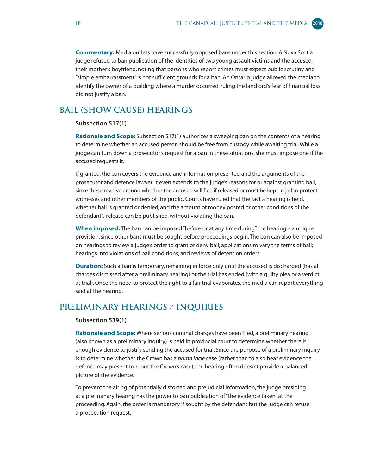<span id="page-23-0"></span>**Commentary:** Media outlets have successfully opposed bans under this section. A Nova Scotia judge refused to ban publication of the identities of two young assault victims and the accused, their mother's boyfriend, noting that persons who report crimes must expect public scrutiny and "simple embarrassment" is not sufficient grounds for a ban. An Ontario judge allowed the media to identify the owner of a building where a murder occurred, ruling the landlord's fear of financial loss did not justify a ban.

#### **Bail (show cause) hearings**

#### **Subsection 517(1)**

**Rationale and Scope:** Subsection 517(1) authorizes a sweeping ban on the contents of a hearing to determine whether an accused person should be free from custody while awaiting trial. While a judge can turn down a prosecutor's request for a ban in these situations, she must impose one if the accused requests it.

If granted, the ban covers the evidence and information presented and the arguments of the prosecutor and defence lawyer. It even extends to the judge's reasons for or against granting bail, since these revolve around whether the accused will flee if released or must be kept in jail to protect witnesses and other members of the public. Courts have ruled that the fact a hearing is held, whether bail is granted or denied, and the amount of money posted or other conditions of the defendant's release can be published, without violating the ban.

**When imposed:** The ban can be imposed "before or at any time during" the hearing – a unique provision, since other bans must be sought before proceedings begin. The ban can also be imposed on hearings to review a judge's order to grant or deny bail; applications to vary the terms of bail; hearings into violations of bail conditions; and reviews of detention orders.

**Duration:** Such a ban is temporary, remaining in force only until the accused is discharged (has all charges dismissed after a preliminary hearing) or the trial has ended (with a guilty plea or a verdict at trial). Once the need to protect the right to a fair trial evaporates, the media can report everything said at the hearing.

#### **Preliminary hearings / inquiries**

#### **Subsection 539(1)**

**Rationale and Scope:** Where serious criminal charges have been filed, a preliminary hearing (also known as a preliminary inquiry) is held in provincial court to determine whether there is enough evidence to justify sending the accused for trial. Since the purpose of a preliminary inquiry is to determine whether the Crown has a *prima facie* case (rather than to also hear evidence the defence may present to rebut the Crown's case), the hearing often doesn't provide a balanced picture of the evidence.

To prevent the airing of potentially distorted and prejudicial information, the judge presiding at a preliminary hearing has the power to ban publication of "the evidence taken" at the proceeding. Again, the order is mandatory if sought by the defendant but the judge can refuse a prosecution request.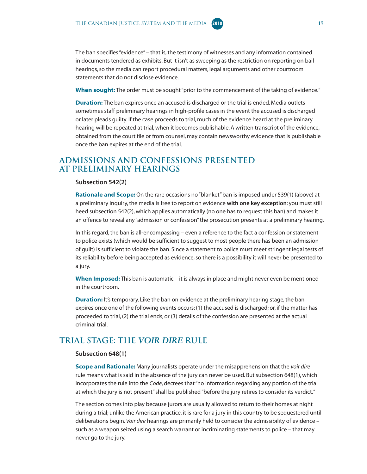<span id="page-24-0"></span>The ban specifies "evidence" – that is, the testimony of witnesses and any information contained in documents tendered as exhibits. But it isn't as sweeping as the restriction on reporting on bail hearings, so the media can report procedural matters, legal arguments and other courtroom statements that do not disclose evidence.

**When sought:** The order must be sought "prior to the commencement of the taking of evidence."

**Duration:** The ban expires once an accused is discharged or the trial is ended. Media outlets sometimes staff preliminary hearings in high-profile cases in the event the accused is discharged or later pleads guilty. If the case proceeds to trial, much of the evidence heard at the preliminary hearing will be repeated at trial, when it becomes publishable. A written transcript of the evidence, obtained from the court file or from counsel, may contain newsworthy evidence that is publishable once the ban expires at the end of the trial.

#### **Admissions and confessions presented at preliminary hearings**

#### **Subsection 542(2)**

**Rationale and Scope:** On the rare occasions no "blanket" ban is imposed under 539(1) (above) at a preliminary inquiry, the media is free to report on evidence **with one key exception**: you must still heed subsection 542(2), which applies automatically (no one has to request this ban) and makes it an offence to reveal any "admission or confession" the prosecution presents at a preliminary hearing.

In this regard, the ban is all-encompassing – even a reference to the fact a confession or statement to police exists (which would be sufficient to suggest to most people there has been an admission of guilt) is sufficient to violate the ban. Since a statement to police must meet stringent legal tests of its reliability before being accepted as evidence, so there is a possibility it will never be presented to a jury.

**When Imposed:** This ban is automatic – it is always in place and might never even be mentioned in the courtroom.

**Duration:** It's temporary. Like the ban on evidence at the preliminary hearing stage, the ban expires once one of the following events occurs: (1) the accused is discharged; or, if the matter has proceeded to trial, (2) the trial ends, or (3) details of the confession are presented at the actual criminal trial.

#### **Trial stage: The** *VOIR DIRE* **rule**

#### **Subsection 648(1)**

**Scope and Rationale:** Many journalists operate under the misapprehension that the *voir dire* rule means what is said in the absence of the jury can never be used. But subsection 648(1), which incorporates the rule into the *Code*, decrees that "no information regarding any portion of the trial at which the jury is not present" shall be published "before the jury retires to consider its verdict."

The section comes into play because jurors are usually allowed to return to their homes at night during a trial; unlike the American practice, it is rare for a jury in this country to be sequestered until deliberations begin. *Voir dire* hearings are primarily held to consider the admissibility of evidence – such as a weapon seized using a search warrant or incriminating statements to police – that may never go to the jury.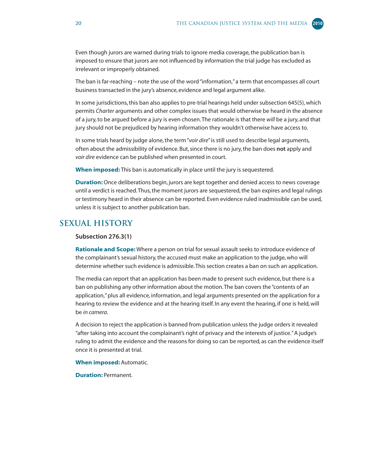<span id="page-25-0"></span>Even though jurors are warned during trials to ignore media coverage, the publication ban is imposed to ensure that jurors are not influenced by information the trial judge has excluded as irrelevant or improperly obtained.

The ban is far-reaching – note the use of the word "information," a term that encompasses all court business transacted in the jury's absence, evidence and legal argument alike.

In some jurisdictions, this ban also applies to pre-trial hearings held under subsection 645(5), which permits *Charter* arguments and other complex issues that would otherwise be heard in the absence of a jury, to be argued before a jury is even chosen. The rationale is that there *will* be a jury, and that jury should not be prejudiced by hearing information they wouldn't otherwise have access to.

In some trials heard by judge alone, the term "*voir dire*" is still used to describe legal arguments, often about the admissibility of evidence. But, since there is no jury, the ban does **not** apply and *voir dire* evidence can be published when presented in court.

**When imposed:** This ban is automatically in place until the jury is sequestered.

**Duration:** Once deliberations begin, jurors are kept together and denied access to news coverage until a verdict is reached. Thus, the moment jurors are sequestered, the ban expires and legal rulings or testimony heard in their absence can be reported. Even evidence ruled inadmissible can be used, unless it is subject to another publication ban.

#### **Sexual history**

#### **Subsection 276.3(1)**

**Rationale and Scope:** Where a person on trial for sexual assault seeks to introduce evidence of the complainant's sexual history, the accused must make an application to the judge, who will determine whether such evidence is admissible. This section creates a ban on such an application.

The media can report that an application has been made to present such evidence, but there is a ban on publishing any other information about the motion. The ban covers the "contents of an application," plus all evidence, information, and legal arguments presented on the application for a hearing to review the evidence and at the hearing itself. In any event the hearing, if one is held, will be *in camera*.

A decision to reject the application is banned from publication unless the judge orders it revealed "after taking into account the complainant's right of privacy and the interests of justice." A judge's ruling to admit the evidence and the reasons for doing so can be reported, as can the evidence itself once it is presented at trial.

**When imposed:** Automatic.

**Duration:** Permanent.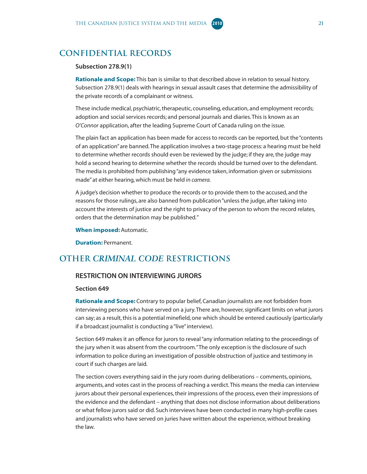#### <span id="page-26-0"></span>**Confidential records**

#### **Subsection 278.9(1)**

**Rationale and Scope:** This ban is similar to that described above in relation to sexual history. Subsection 278.9(1) deals with hearings in sexual assault cases that determine the admissibility of the private records of a complainant or witness.

These include medical, psychiatric, therapeutic, counseling, education, and employment records; adoption and social services records; and personal journals and diaries. This is known as an *O'Connor* application, after the leading Supreme Court of Canada ruling on the issue.

The plain fact an application has been made for access to records can be reported, but the "contents of an application" are banned. The application involves a two-stage process: a hearing must be held to determine whether records should even be reviewed by the judge; if they are, the judge may hold a second hearing to determine whether the records should be turned over to the defendant. The media is prohibited from publishing "any evidence taken, information given or submissions made" at either hearing, which must be held *in camera.* 

A judge's decision whether to produce the records or to provide them to the accused, and the reasons for those rulings, are also banned from publication "unless the judge, after taking into account the interests of justice and the right to privacy of the person to whom the record relates, orders that the determination may be published."

**When imposed:** Automatic.

**Duration:** Permanent.

#### **Other** *CRIMINAL CODE* **restrictions**

#### **RESTRICTION ON INTERVIEWING JURORS**

#### **Section 649**

**Rationale and Scope:** Contrary to popular belief, Canadian journalists are not forbidden from interviewing persons who have served on a jury. There are, however, significant limits on what jurors can say; as a result, this is a potential minefield, one which should be entered cautiously (particularly if a broadcast journalist is conducting a "live" interview).

Section 649 makes it an offence for jurors to reveal "any information relating to the proceedings of the jury when it was absent from the courtroom." The only exception is the disclosure of such information to police during an investigation of possible obstruction of justice and testimony in court if such charges are laid.

The section covers everything said in the jury room during deliberations – comments, opinions, arguments, and votes cast in the process of reaching a verdict. This means the media can interview jurors about their personal experiences, their impressions of the process, even their impressions of the evidence and the defendant – anything that does not disclose information about deliberations or what fellow jurors said or did. Such interviews have been conducted in many high-profile cases and journalists who have served on juries have written about the experience, without breaking the law.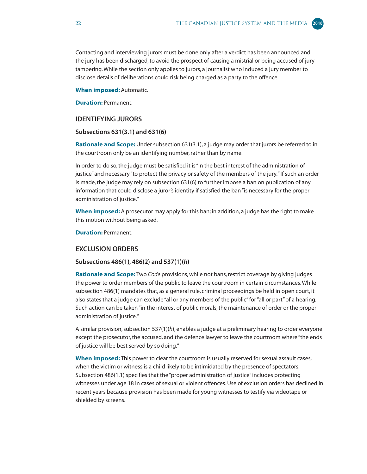Contacting and interviewing jurors must be done only after a verdict has been announced and the jury has been discharged, to avoid the prospect of causing a mistrial or being accused of jury tampering. While the section only applies to jurors, a journalist who induced a jury member to disclose details of deliberations could risk being charged as a party to the offence.

#### **When imposed:** Automatic.

**Duration: Permanent.** 

#### **IDENTIFYING JURORS**

#### **Subsections 631(3.1) and 631(6)**

**Rationale and Scope:** Under subsection 631(3.1), a judge may order that jurors be referred to in the courtroom only be an identifying number, rather than by name.

In order to do so, the judge must be satisfied it is "in the best interest of the administration of justice" and necessary "to protect the privacy or safety of the members of the jury." If such an order is made, the judge may rely on subsection 631(6) to further impose a ban on publication of any information that could disclose a juror's identity if satisfied the ban "is necessary for the proper administration of justice."

**When imposed:** A prosecutor may apply for this ban; in addition, a judge has the right to make this motion without being asked.

**Duration:** Permanent.

#### **EXCLUSION ORDERS**

#### **Subsections 486(1), 486(2) and 537(1)(***h***)**

**Rationale and Scope:** Two *Code* provisions, while not bans, restrict coverage by giving judges the power to order members of the public to leave the courtroom in certain circumstances. While subsection 486(1) mandates that, as a general rule, criminal proceedings be held in open court, it also states that a judge can exclude "all or any members of the public" for "all or part" of a hearing. Such action can be taken "in the interest of public morals, the maintenance of order or the proper administration of justice."

A similar provision, subsection 537(1)(*h*), enables a judge at a preliminary hearing to order everyone except the prosecutor, the accused, and the defence lawyer to leave the courtroom where "the ends of justice will be best served by so doing."

**When imposed:** This power to clear the courtroom is usually reserved for sexual assault cases, when the victim or witness is a child likely to be intimidated by the presence of spectators. Subsection 486(1.1) specifies that the "proper administration of justice" includes protecting witnesses under age 18 in cases of sexual or violent offences. Use of exclusion orders has declined in recent years because provision has been made for young witnesses to testify via videotape or shielded by screens.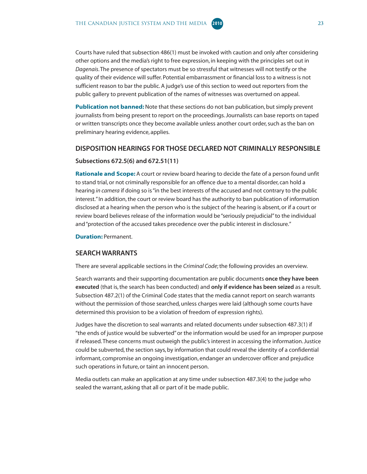Courts have ruled that subsection 486(1) must be invoked with caution and only after considering other options and the media's right to free expression, in keeping with the principles set out in *Dagenais*. The presence of spectators must be so stressful that witnesses will not testify or the quality of their evidence will suffer. Potential embarrassment or financial loss to a witness is not sufficient reason to bar the public. A judge's use of this section to weed out reporters from the public gallery to prevent publication of the names of witnesses was overturned on appeal.

**Publication not banned:** Note that these sections do not ban publication, but simply prevent journalists from being present to report on the proceedings. Journalists can base reports on taped or written transcripts once they become available unless another court order, such as the ban on preliminary hearing evidence, applies.

#### **DISPOSITION HEARINGS FOR THOSE DECLARED NOT CRIMINALLY RESPONSIBLE**

#### **Subsections 672.5(6) and 672.51(11)**

**Rationale and Scope:** A court or review board hearing to decide the fate of a person found unfit to stand trial, or not criminally responsible for an offence due to a mental disorder, can hold a hearing *in camera* if doing so is "in the best interests of the accused and not contrary to the public interest." In addition, the court or review board has the authority to ban publication of information disclosed at a hearing when the person who is the subject of the hearing is absent, or if a court or review board believes release of the information would be "seriously prejudicial" to the individual and "protection of the accused takes precedence over the public interest in disclosure."

**Duration: Permanent.** 

#### **SEARCH WARRANTS**

There are several applicable sections in the *Criminal Code*; the following provides an overview.

Search warrants and their supporting documentation are public documents **once they have been executed** (that is, the search has been conducted) and **only if evidence has been seized** as a result. Subsection 487.2(1) of the Criminal Code states that the media cannot report on search warrants without the permission of those searched, unless charges were laid (although some courts have determined this provision to be a violation of freedom of expression rights).

Judges have the discretion to seal warrants and related documents under subsection 487.3(1) if "the ends of justice would be subverted" or the information would be used for an improper purpose if released. These concerns must outweigh the public's interest in accessing the information. Justice could be subverted, the section says, by information that could reveal the identity of a confidential informant, compromise an ongoing investigation, endanger an undercover officer and prejudice such operations in future, or taint an innocent person.

Media outlets can make an application at any time under subsection 487.3(4) to the judge who sealed the warrant, asking that all or part of it be made public.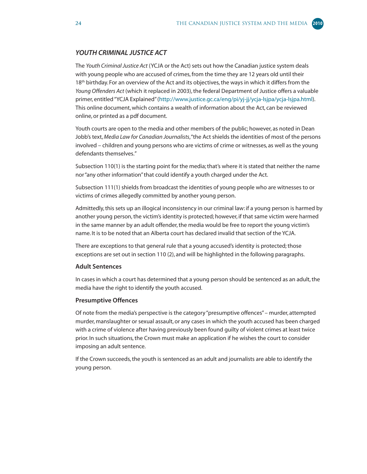#### *YOUTH CRIMINAL JUSTICE ACT*

The *Youth Criminal Justice Act* (YCJA or the Act) sets out how the Canadian justice system deals with young people who are accused of crimes, from the time they are 12 years old until their 18<sup>th</sup> birthday. For an overview of the Act and its objectives, the ways in which it differs from the *Young Offenders Act* (which it replaced in 2003), the federal Department of Justice offers a valuable primer, entitled "YCJA Explaine[d" \(http://www.justice.gc.ca/eng/pi/yj-jj/ycja-lsjpa/ycja-lsjpa.html\).](http://www.justice.gc.ca/eng/pi/yj-jj/ycja-lsjpa/ycja-lsjpa.html) This online document, which contains a wealth of information about the Act, can be reviewed online, or printed as a pdf document.

Youth courts are open to the media and other members of the public; however, as noted in Dean Jobb's text, *Media Law for Canadian Journalists*, "the Act shields the identities of most of the persons involved – children and young persons who are victims of crime or witnesses, as well as the young defendants themselves."

Subsection 110(1) is the starting point for the media; that's where it is stated that neither the name nor "any other information" that could identify a youth charged under the Act.

Subsection 111(1) shields from broadcast the identities of young people who are witnesses to or victims of crimes allegedly committed by another young person.

Admittedly, this sets up an illogical inconsistency in our criminal law: if a young person is harmed by another young person, the victim's identity is protected; however, if that same victim were harmed in the same manner by an adult offender, the media would be free to report the young victim's name. It is to be noted that an Alberta court has declared invalid that section of the YCJA.

There are exceptions to that general rule that a young accused's identity is protected; those exceptions are set out in section 110 (2), and will be highlighted in the following paragraphs.

#### **Adult Sentences**

In cases in which a court has determined that a young person should be sentenced as an adult, the media have the right to identify the youth accused.

#### **Presumptive Offences**

Of note from the media's perspective is the category "presumptive offences" – murder, attempted murder, manslaughter or sexual assault, or any cases in which the youth accused has been charged with a crime of violence after having previously been found guilty of violent crimes at least twice prior. In such situations, the Crown must make an application if he wishes the court to consider imposing an adult sentence.

If the Crown succeeds, the youth is sentenced as an adult and journalists are able to identify the young person.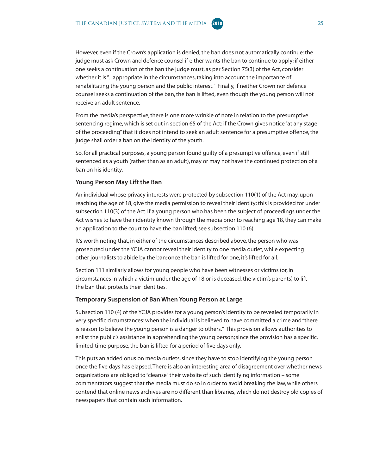However, even if the Crown's application is denied, the ban does **not** automatically continue: the judge must ask Crown and defence counsel if either wants the ban to continue to apply; if either one seeks a continuation of the ban the judge must, as per Section 75(3) of the Act, consider whether it is "...appropriate in the circumstances, taking into account the importance of rehabilitating the young person and the public interest." Finally, if neither Crown nor defence counsel seeks a continuation of the ban, the ban is lifted, even though the young person will not receive an adult sentence.

From the media's perspective, there is one more wrinkle of note in relation to the presumptive sentencing regime, which is set out in section 65 of the Act: if the Crown gives notice "at any stage of the proceeding" that it does not intend to seek an adult sentence for a presumptive offence, the judge shall order a ban on the identity of the youth.

So, for all practical purposes, a young person found guilty of a presumptive offence, even if still sentenced as a youth (rather than as an adult), may or may not have the continued protection of a ban on his identity.

#### **Young Person May Lift the Ban**

An individual whose privacy interests were protected by subsection 110(1) of the Act may, upon reaching the age of 18, give the media permission to reveal their identity; this is provided for under subsection 110(3) of the Act. If a young person who has been the subject of proceedings under the Act wishes to have their identity known through the media prior to reaching age 18, they can make an application to the court to have the ban lifted; see subsection 110 (6).

It's worth noting that, in either of the circumstances described above, the person who was prosecuted under the YCJA cannot reveal their identity to one media outlet, while expecting other journalists to abide by the ban: once the ban is lifted for one, it's lifted for all.

Section 111 similarly allows for young people who have been witnesses or victims (or, in circumstances in which a victim under the age of 18 or is deceased, the victim's parents) to lift the ban that protects their identities.

#### **Temporary Suspension of Ban When Young Person at Large**

Subsection 110 (4) of the YCJA provides for a young person's identity to be revealed temporarily in very specific circumstances: when the individual is believed to have committed a crime and "there is reason to believe the young person is a danger to others." This provision allows authorities to enlist the public's assistance in apprehending the young person; since the provision has a specific, limited-time purpose, the ban is lifted for a period of five days only.

This puts an added onus on media outlets, since they have to stop identifying the young person once the five days has elapsed. There is also an interesting area of disagreement over whether news organizations are obliged to "cleanse" their website of such identifying information – some commentators suggest that the media must do so in order to avoid breaking the law, while others contend that online news archives are no different than libraries, which do not destroy old copies of newspapers that contain such information.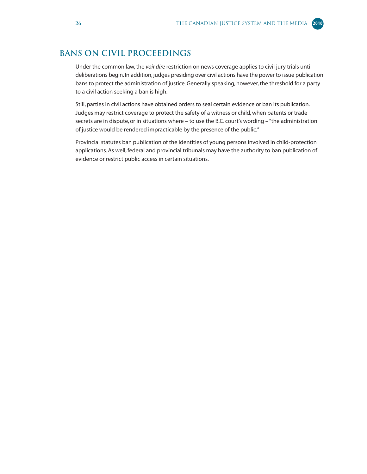#### <span id="page-31-0"></span>**Bans on Civil Proceedings**

Under the common law, the *voir dire* restriction on news coverage applies to civil jury trials until deliberations begin. In addition, judges presiding over civil actions have the power to issue publication bans to protect the administration of justice. Generally speaking, however, the threshold for a party to a civil action seeking a ban is high.

Still, parties in civil actions have obtained orders to seal certain evidence or ban its publication. Judges may restrict coverage to protect the safety of a witness or child, when patents or trade secrets are in dispute, or in situations where – to use the B.C. court's wording – "the administration of justice would be rendered impracticable by the presence of the public."

Provincial statutes ban publication of the identities of young persons involved in child-protection applications. As well, federal and provincial tribunals may have the authority to ban publication of evidence or restrict public access in certain situations.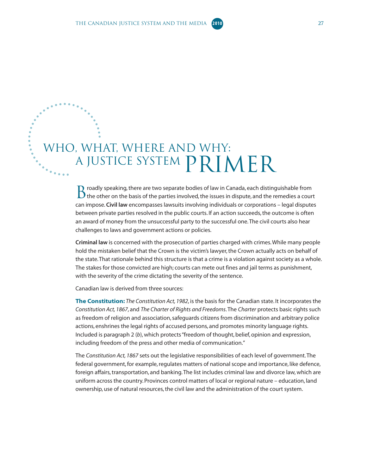### <span id="page-32-0"></span>WHO, WHAT, WHERE AND WHY: A JUSTICE SYSTEM PRIMER

 $\Box$  roadly speaking, there are two separate bodies of law in Canada, each distinguishable from  $\mathbf D$  the other on the basis of the parties involved, the issues in dispute, and the remedies a court can impose. **Civil law** encompasses lawsuits involving individuals or corporations – legal disputes between private parties resolved in the public courts. If an action succeeds, the outcome is often an award of money from the unsuccessful party to the successful one. The civil courts also hear challenges to laws and government actions or policies.

**Criminal law** is concerned with the prosecution of parties charged with crimes. While many people hold the mistaken belief that the Crown is the victim's lawyer, the Crown actually acts on behalf of the state. That rationale behind this structure is that a crime is a violation against society as a whole. The stakes for those convicted are high; courts can mete out fines and jail terms as punishment, with the severity of the crime dictating the severity of the sentence.

Canadian law is derived from three sources:

**The Constitution:** *The Constitution Act, 1982*, is the basis for the Canadian state. It incorporates the *Constitution Act, 1867*, and *The Charter of Rights and Freedoms*. The *Charter* protects basic rights such as freedom of religion and association, safeguards citizens from discrimination and arbitrary police actions, enshrines the legal rights of accused persons, and promotes minority language rights. Included is paragraph 2 (*b*), which protects "freedom of thought, belief, opinion and expression, including freedom of the press and other media of communication."

The *Constitution Act, 1867* sets out the legislative responsibilities of each level of government. The federal government, for example, regulates matters of national scope and importance, like defence, foreign affairs, transportation, and banking. The list includes criminal law and divorce law, which are uniform across the country. Provinces control matters of local or regional nature – education, land ownership, use of natural resources, the civil law and the administration of the court system.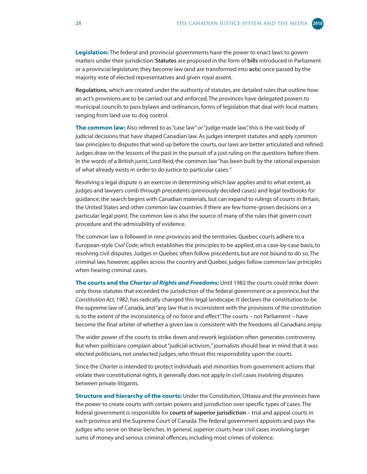**Legislation:** The federal and provincial governments have the power to enact laws to govern matters under their jurisdiction. **Statutes** are proposed in the form of **bills** introduced in Parliament or a provincial legislature; they become law (and are transformed into **acts**) once passed by the majority vote of elected representatives and given royal assent.

**Regulations,** which are created under the authority of statutes, are detailed rules that outline how an act's provisions are to be carried out and enforced. The provinces have delegated powers to municipal councils to pass bylaws and ordinances, forms of legislation that deal with local matters ranging from land use to dog control.

**The common law:** Also referred to as "case law" or "judge-made law", this is the vast body of judicial decisions that have shaped Canadian law. As judges interpret statutes and apply common law principles to disputes that wind up before the courts, our laws are better articulated and refined. Judges draw on the lessons of the past in the pursuit of a just ruling on the questions before them. In the words of a British jurist, Lord Reid, the common law "has been built by the rational expansion of what already exists in order to do justice to particular cases."

Resolving a legal dispute is an exercise in determining which law applies and to what extent, as judges and lawyers comb through precedents (previously decided cases) and legal textbooks for guidance; the search begins with Canadian materials, but can expand to rulings of courts in Britain, the United States and other common law countries if there are few home-grown decisions on a particular legal point. The common law is also the source of many of the rules that govern court procedure and the admissibility of evidence.

The common law is followed in nine provinces and the territories. Quebec courts adhere to a European-style *Civil Code*, which establishes the principles to be applied, on a case-by-case basis, to resolving civil disputes. Judges in Quebec often follow precedents, but are not bound to do so. The criminal law, however, applies across the country and Quebec judges follow common law principles when hearing criminal cases.

**The courts and the** *Charter of Rights and Freedoms***:** Until 1982 the courts could strike down only those statutes that exceeded the jurisdiction of the federal government or a province, but the *Constitution Act, 1982*, has radically changed this legal landscape. It declares the constitution to be the supreme law of Canada, and "any law that is inconsistent with the provisions of the constitution is, to the extent of the inconsistency, of no force and effect". The courts – not Parliament – have become the final arbiter of whether a given law is consistent with the freedoms all Canadians enjoy.

The wider power of the courts to strike down and rework legislation often generates controversy. But when politicians complain about "judicial activism," journalists should bear in mind that it was elected politicians, not unelected judges, who thrust this responsibility upon the courts.

Since the *Charter* is intended to protect individuals and minorities from government actions that violate their constitutional rights, it generally does not apply in civil cases involving disputes between private litigants.

**Structure and hierarchy of the courts:** Under the Constitution, Ottawa and the provinces have the power to create courts with certain powers and jurisdiction over specific types of cases. The federal government is responsible for **courts of superior jurisdiction** – trial and appeal courts in each province and the Supreme Court of Canada. The federal government appoints and pays the judges who serve on these benches. In general, superior courts hear civil cases involving larger sums of money and serious criminal offences, including most crimes of violence.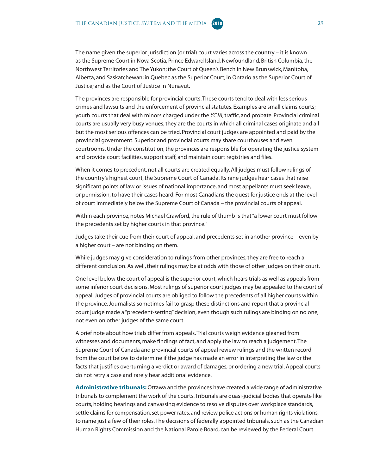The name given the superior jurisdiction (or trial) court varies across the country – it is known as the Supreme Court in Nova Scotia, Prince Edward Island, Newfoundland, British Columbia, the Northwest Territories and The Yukon; the Court of Queen's Bench in New Brunswick, Manitoba, Alberta, and Saskatchewan; in Quebec as the Superior Court; in Ontario as the Superior Court of Justice; and as the Court of Justice in Nunavut.

The provinces are responsible for provincial courts. These courts tend to deal with less serious crimes and lawsuits and the enforcement of provincial statutes. Examples are small claims courts; youth courts that deal with minors charged under the *YCJA*; traffic, and probate. Provincial criminal courts are usually very busy venues; they are the courts in which all criminal cases originate and all but the most serious offences can be tried. Provincial court judges are appointed and paid by the provincial government. Superior and provincial courts may share courthouses and even courtrooms. Under the constitution, the provinces are responsible for operating the justice system and provide court facilities, support staff, and maintain court registries and files.

When it comes to precedent, not all courts are created equally. All judges must follow rulings of the country's highest court, the Supreme Court of Canada. Its nine judges hear cases that raise significant points of law or issues of national importance, and most appellants must seek **leave**, or permission, to have their cases heard. For most Canadians the quest for justice ends at the level of court immediately below the Supreme Court of Canada – the provincial courts of appeal.

Within each province, notes Michael Crawford, the rule of thumb is that "a lower court must follow the precedents set by higher courts in that province."

Judges take their cue from their court of appeal, and precedents set in another province – even by a higher court – are not binding on them.

While judges may give consideration to rulings from other provinces, they are free to reach a different conclusion. As well, their rulings may be at odds with those of other judges on their court.

One level below the court of appeal is the superior court, which hears trials as well as appeals from some inferior court decisions. Most rulings of superior court judges may be appealed to the court of appeal. Judges of provincial courts are obliged to follow the precedents of all higher courts within the province. Journalists sometimes fail to grasp these distinctions and report that a provincial court judge made a "precedent-setting" decision, even though such rulings are binding on no one, not even on other judges of the same court.

A brief note about how trials differ from appeals. Trial courts weigh evidence gleaned from witnesses and documents, make findings of fact, and apply the law to reach a judgement. The Supreme Court of Canada and provincial courts of appeal review rulings and the written record from the court below to determine if the judge has made an error in interpreting the law or the facts that justifies overturning a verdict or award of damages, or ordering a new trial. Appeal courts do not retry a case and rarely hear additional evidence.

**Administrative tribunals:** Ottawa and the provinces have created a wide range of administrative tribunals to complement the work of the courts. Tribunals are quasi-judicial bodies that operate like courts, holding hearings and canvassing evidence to resolve disputes over workplace standards, settle claims for compensation, set power rates, and review police actions or human rights violations, to name just a few of their roles. The decisions of federally appointed tribunals, such as the Canadian Human Rights Commission and the National Parole Board, can be reviewed by the Federal Court.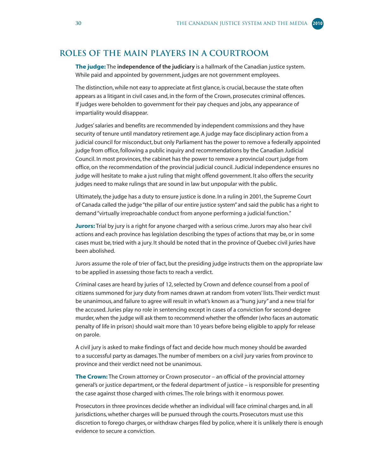#### <span id="page-35-0"></span>**Roles of the main players in a courtroom**

**The judge:** The **independence of the judiciary** is a hallmark of the Canadian justice system. While paid and appointed by government, judges are not government employees.

The distinction, while not easy to appreciate at first glance, is crucial, because the state often appears as a litigant in civil cases and, in the form of the Crown, prosecutes criminal offences. If judges were beholden to government for their pay cheques and jobs, any appearance of impartiality would disappear.

Judges' salaries and benefits are recommended by independent commissions and they have security of tenure until mandatory retirement age. A judge may face disciplinary action from a judicial council for misconduct, but only Parliament has the power to remove a federally appointed judge from office, following a public inquiry and recommendations by the Canadian Judicial Council. In most provinces, the cabinet has the power to remove a provincial court judge from office, on the recommendation of the provincial judicial council. Judicial independence ensures no judge will hesitate to make a just ruling that might offend government. It also offers the security judges need to make rulings that are sound in law but unpopular with the public.

Ultimately, the judge has a duty to ensure justice is done. In a ruling in 2001, the Supreme Court of Canada called the judge "the pillar of our entire justice system" and said the public has a right to demand "virtually irreproachable conduct from anyone performing a judicial function."

**Jurors:** Trial by jury is a right for anyone charged with a serious crime. Jurors may also hear civil actions and each province has legislation describing the types of actions that may be, or in some cases must be, tried with a jury. It should be noted that in the province of Quebec civil juries have been abolished.

Jurors assume the role of trier of fact, but the presiding judge instructs them on the appropriate law to be applied in assessing those facts to reach a verdict.

Criminal cases are heard by juries of 12, selected by Crown and defence counsel from a pool of citizens summoned for jury duty from names drawn at random from voters' lists. Their verdict must be unanimous, and failure to agree will result in what's known as a "hung jury" and a new trial for the accused. Juries play no role in sentencing except in cases of a conviction for second-degree murder, when the judge will ask them to recommend whether the offender (who faces an automatic penalty of life in prison) should wait more than 10 years before being eligible to apply for release on parole.

A civil jury is asked to make findings of fact and decide how much money should be awarded to a successful party as damages. The number of members on a civil jury varies from province to province and their verdict need not be unanimous.

**The Crown:** The Crown attorney or Crown prosecutor – an official of the provincial attorney general's or justice department, or the federal department of justice – is responsible for presenting the case against those charged with crimes. The role brings with it enormous power.

Prosecutors in three provinces decide whether an individual will face criminal charges and, in all jurisdictions, whether charges will be pursued through the courts. Prosecutors must use this discretion to forego charges, or withdraw charges filed by police, where it is unlikely there is enough evidence to secure a conviction.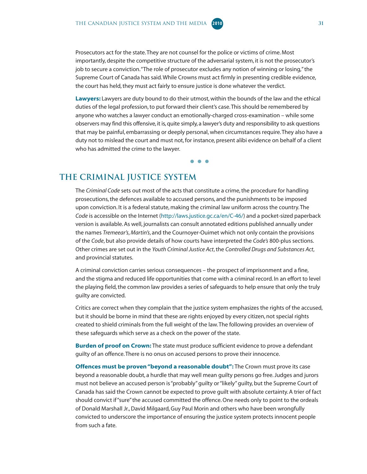<span id="page-36-0"></span>Prosecutors act for the state. They are not counsel for the police or victims of crime. Most importantly, despite the competitive structure of the adversarial system, it is not the prosecutor's job to secure a conviction. "The role of prosecutor excludes any notion of winning or losing," the Supreme Court of Canada has said. While Crowns must act firmly in presenting credible evidence, the court has held, they must act fairly to ensure justice is done whatever the verdict.

**Lawyers:** Lawyers are duty bound to do their utmost, within the bounds of the law and the ethical duties of the legal profession, to put forward their client's case. This should be remembered by anyone who watches a lawyer conduct an emotionally-charged cross-examination – while some observers may find this offensive, it is, quite simply, a lawyer's duty and responsibility to ask questions that may be painful, embarrassing or deeply personal, when circumstances require. They also have a duty not to mislead the court and must not, for instance, present alibi evidence on behalf of a client who has admitted the crime to the lawyer.

● ● ●

#### **The Criminal Justice System**

The *Criminal Code* sets out most of the acts that constitute a crime, the procedure for handling prosecutions, the defences available to accused persons, and the punishments to be imposed upon conviction. It is a federal statute, making the criminal law uniform across the country. The *Code* is accessible on the Internet ([http://laws.justice.gc.ca/en/C-46/\) an](http://laws.justice.gc.ca/en/C-46/)d a pocket-sized paperback version is available. As well, journalists can consult annotated editions published annually under the names *Tremeear's*, *Martin's*, and the Cournoyer-Ouimet which not only contain the provisions of the *Code*, but also provide details of how courts have interpreted the *Code's* 800-plus sections. Other crimes are set out in the *Youth Criminal Justice Act*, the *Controlled Drugs and Substances Act*, and provincial statutes.

A criminal conviction carries serious consequences – the prospect of imprisonment and a fine, and the stigma and reduced life opportunities that come with a criminal record. In an effort to level the playing field, the common law provides a series of safeguards to help ensure that only the truly guilty are convicted.

Critics are correct when they complain that the justice system emphasizes the rights of the accused, but it should be borne in mind that these are rights enjoyed by every citizen, not special rights created to shield criminals from the full weight of the law. The following provides an overview of these safeguards which serve as a check on the power of the state.

**Burden of proof on Crown:** The state must produce sufficient evidence to prove a defendant guilty of an offence. There is no onus on accused persons to prove their innocence.

**Offences must be proven "beyond a reasonable doubt":** The Crown must prove its case beyond a reasonable doubt, a hurdle that may well mean guilty persons go free. Judges and jurors must not believe an accused person is "probably" guilty or "likely" guilty, but the Supreme Court of Canada has said the Crown cannot be expected to prove guilt with absolute certainty. A trier of fact should convict if "sure" the accused committed the offence. One needs only to point to the ordeals of Donald Marshall Jr., David Milgaard, Guy Paul Morin and others who have been wrongfully convicted to underscore the importance of ensuring the justice system protects innocent people from such a fate.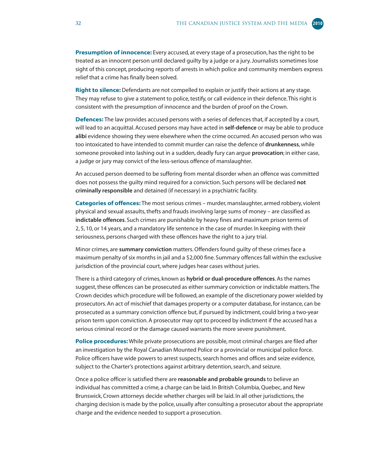**Presumption of innocence:** Every accused, at every stage of a prosecution, has the right to be treated as an innocent person until declared guilty by a judge or a jury. Journalists sometimes lose sight of this concept, producing reports of arrests in which police and community members express relief that a crime has finally been solved.

**Right to silence:** Defendants are not compelled to explain or justify their actions at any stage. They may refuse to give a statement to police, testify, or call evidence in their defence. This right is consistent with the presumption of innocence and the burden of proof on the Crown.

**Defences:** The law provides accused persons with a series of defences that, if accepted by a court, will lead to an acquittal. Accused persons may have acted in **self-defence** or may be able to produce **alibi** evidence showing they were elsewhere when the crime occurred. An accused person who was too intoxicated to have intended to commit murder can raise the defence of **drunkenness**, while someone provoked into lashing out in a sudden, deadly fury can argue **provocation**; in either case, a judge or jury may convict of the less-serious offence of manslaughter.

An accused person deemed to be suffering from mental disorder when an offence was committed does not possess the guilty mind required for a conviction. Such persons will be declared **not criminally responsible** and detained (if necessary) in a psychiatric facility.

**Categories of offences:** The most serious crimes – murder, manslaughter, armed robbery, violent physical and sexual assaults, thefts and frauds involving large sums of money – are classified as **indictable offences**. Such crimes are punishable by heavy fines and maximum prison terms of 2, 5, 10, or 14 years, and a mandatory life sentence in the case of murder. In keeping with their seriousness, persons charged with these offences have the right to a jury trial.

Minor crimes, are **summary conviction** matters. Offenders found guilty of these crimes face a maximum penalty of six months in jail and a \$2,000 fine. Summary offences fall within the exclusive jurisdiction of the provincial court, where judges hear cases without juries.

There is a third category of crimes, known as **hybrid or dual-procedure offences**. As the names suggest, these offences can be prosecuted as either summary conviction or indictable matters. The Crown decides which procedure will be followed, an example of the discretionary power wielded by prosecutors. An act of mischief that damages property or a computer database, for instance, can be prosecuted as a summary conviction offence but, if pursued by indictment, could bring a two-year prison term upon conviction. A prosecutor may opt to proceed by indictment if the accused has a serious criminal record or the damage caused warrants the more severe punishment.

**Police procedures:** While private prosecutions are possible, most criminal charges are filed after an investigation by the Royal Canadian Mounted Police or a provincial or municipal police force. Police officers have wide powers to arrest suspects, search homes and offices and seize evidence, subject to the Charter's protections against arbitrary detention, search, and seizure.

Once a police officer is satisfied there are **reasonable and probable grounds** to believe an individual has committed a crime, a charge can be laid. In British Columbia, Quebec, and New Brunswick, Crown attorneys decide whether charges will be laid. In all other jurisdictions, the charging decision is made by the police, usually after consulting a prosecutor about the appropriate charge and the evidence needed to support a prosecution.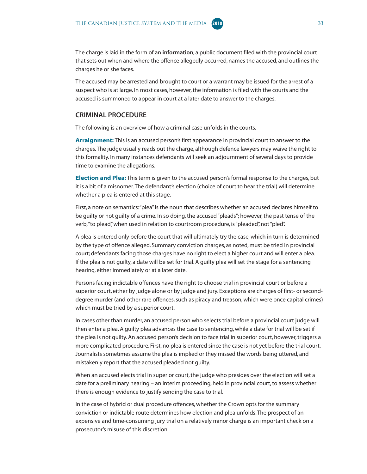

The accused may be arrested and brought to court or a warrant may be issued for the arrest of a suspect who is at large. In most cases, however, the information is filed with the courts and the accused is summoned to appear in court at a later date to answer to the charges.

#### **CRIMINAL PROCEDURE**

The following is an overview of how a criminal case unfolds in the courts.

**Arraignment:** This is an accused person's first appearance in provincial court to answer to the charges. The judge usually reads out the charge, although defence lawyers may waive the right to this formality. In many instances defendants will seek an adjournment of several days to provide time to examine the allegations.

**Election and Plea:** This term is given to the accused person's formal response to the charges, but it is a bit of a misnomer. The defendant's election (choice of court to hear the trial) will determine whether a plea is entered at this stage.

First, a note on semantics: "plea" is the noun that describes whether an accused declares himself to be guilty or not guilty of a crime. In so doing, the accused "pleads"; however, the past tense of the verb, "to plead", when used in relation to courtroom procedure, is "pleaded", not "pled".

A plea is entered only before the court that will ultimately try the case, which in turn is determined by the type of offence alleged. Summary conviction charges, as noted, must be tried in provincial court; defendants facing those charges have no right to elect a higher court and will enter a plea. If the plea is not guilty, a date will be set for trial. A guilty plea will set the stage for a sentencing hearing, either immediately or at a later date.

Persons facing indictable offences have the right to choose trial in provincial court or before a superior court, either by judge alone or by judge and jury. Exceptions are charges of first- or seconddegree murder (and other rare offences, such as piracy and treason, which were once capital crimes) which must be tried by a superior court.

In cases other than murder, an accused person who selects trial before a provincial court judge will then enter a plea. A guilty plea advances the case to sentencing, while a date for trial will be set if the plea is not guilty. An accused person's decision to face trial in superior court, however, triggers a more complicated procedure. First, no plea is entered since the case is not yet before the trial court. Journalists sometimes assume the plea is implied or they missed the words being uttered, and mistakenly report that the accused pleaded not guilty.

When an accused elects trial in superior court, the judge who presides over the election will set a date for a preliminary hearing – an interim proceeding, held in provincial court, to assess whether there is enough evidence to justify sending the case to trial.

In the case of hybrid or dual procedure offences, whether the Crown opts for the summary conviction or indictable route determines how election and plea unfolds. The prospect of an expensive and time-consuming jury trial on a relatively minor charge is an important check on a prosecutor's misuse of this discretion.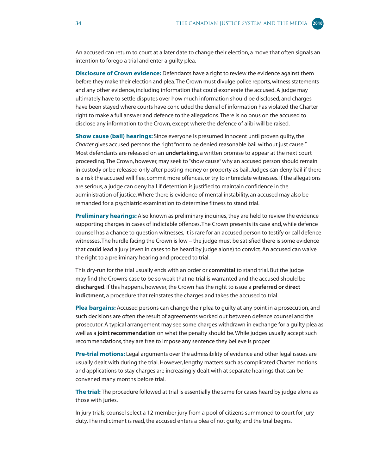An accused can return to court at a later date to change their election, a move that often signals an intention to forego a trial and enter a guilty plea.

**Disclosure of Crown evidence:** Defendants have a right to review the evidence against them before they make their election and plea. The Crown must divulge police reports, witness statements and any other evidence, including information that could exonerate the accused. A judge may ultimately have to settle disputes over how much information should be disclosed, and charges have been stayed where courts have concluded the denial of information has violated the Charter right to make a full answer and defence to the allegations. There is no onus on the accused to disclose any information to the Crown, except where the defence of alibi will be raised.

**Show cause (bail) hearings:** Since everyone is presumed innocent until proven guilty, the *Charter* gives accused persons the right "not to be denied reasonable bail without just cause." Most defendants are released on an **undertaking**, a written promise to appear at the next court proceeding. The Crown, however, may seek to "show cause" why an accused person should remain in custody or be released only after posting money or property as bail. Judges can deny bail if there is a risk the accused will flee, commit more offences, or try to intimidate witnesses. If the allegations are serious, a judge can deny bail if detention is justified to maintain confidence in the administration of justice. Where there is evidence of mental instability, an accused may also be remanded for a psychiatric examination to determine fitness to stand trial.

**Preliminary hearings:** Also known as preliminary inquiries, they are held to review the evidence supporting charges in cases of indictable offences. The Crown presents its case and, while defence counsel has a chance to question witnesses, it is rare for an accused person to testify or call defence witnesses. The hurdle facing the Crown is low – the judge must be satisfied there is some evidence that **could** lead a jury (even in cases to be heard by judge alone) to convict. An accused can waive the right to a preliminary hearing and proceed to trial.

This dry-run for the trial usually ends with an order or **committal** to stand trial. But the judge may find the Crown's case to be so weak that no trial is warranted and the accused should be **discharged**. If this happens, however, the Crown has the right to issue a **preferred or direct indictment**, a procedure that reinstates the charges and takes the accused to trial.

**Plea bargains:** Accused persons can change their plea to guilty at any point in a prosecution, and such decisions are often the result of agreements worked out between defence counsel and the prosecutor. A typical arrangement may see some charges withdrawn in exchange for a guilty plea as well as a **joint recommendation** on what the penalty should be. While judges usually accept such recommendations, they are free to impose any sentence they believe is proper

**Pre-trial motions:** Legal arguments over the admissibility of evidence and other legal issues are usually dealt with during the trial. However, lengthy matters such as complicated Charter motions and applications to stay charges are increasingly dealt with at separate hearings that can be convened many months before trial.

**The trial:** The procedure followed at trial is essentially the same for cases heard by judge alone as those with juries.

In jury trials, counsel select a 12-member jury from a pool of citizens summoned to court for jury duty. The indictment is read, the accused enters a plea of not guilty, and the trial begins.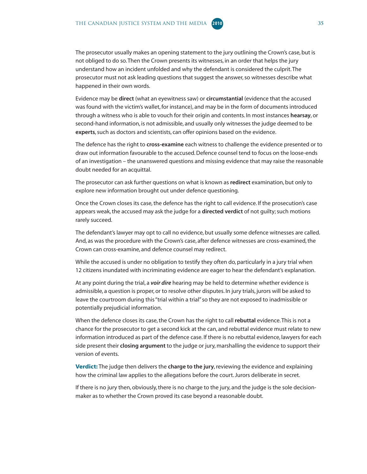The prosecutor usually makes an opening statement to the jury outlining the Crown's case, but is not obliged to do so. Then the Crown presents its witnesses, in an order that helps the jury understand how an incident unfolded and why the defendant is considered the culprit. The prosecutor must not ask leading questions that suggest the answer, so witnesses describe what happened in their own words.

Evidence may be **direct** (what an eyewitness saw) or **circumstantial** (evidence that the accused was found with the victim's wallet, for instance), and may be in the form of documents introduced through a witness who is able to vouch for their origin and contents. In most instances **hearsay**, or second-hand information, is not admissible, and usually only witnesses the judge deemed to be **experts**, such as doctors and scientists, can offer opinions based on the evidence.

The defence has the right to **cross-examine** each witness to challenge the evidence presented or to draw out information favourable to the accused. Defence counsel tend to focus on the loose-ends of an investigation – the unanswered questions and missing evidence that may raise the reasonable doubt needed for an acquittal.

The prosecutor can ask further questions on what is known as **redirect** examination, but only to explore new information brought out under defence questioning.

Once the Crown closes its case, the defence has the right to call evidence. If the prosecution's case appears weak, the accused may ask the judge for a **directed verdict** of not guilty; such motions rarely succeed.

The defendant's lawyer may opt to call no evidence, but usually some defence witnesses are called. And, as was the procedure with the Crown's case, after defence witnesses are cross-examined, the Crown can cross-examine, and defence counsel may redirect.

While the accused is under no obligation to testify they often do, particularly in a jury trial when 12 citizens inundated with incriminating evidence are eager to hear the defendant's explanation.

At any point during the trial, a *voir dire* hearing may be held to determine whether evidence is admissible, a question is proper, or to resolve other disputes. In jury trials, jurors will be asked to leave the courtroom during this "trial within a trial" so they are not exposed to inadmissible or potentially prejudicial information.

When the defence closes its case, the Crown has the right to call **rebuttal** evidence. This is not a chance for the prosecutor to get a second kick at the can, and rebuttal evidence must relate to new information introduced as part of the defence case. If there is no rebuttal evidence, lawyers for each side present their **closing argument** to the judge or jury, marshalling the evidence to support their version of events.

**Verdict:** The judge then delivers the **charge to the jury**, reviewing the evidence and explaining how the criminal law applies to the allegations before the court. Jurors deliberate in secret.

If there is no jury then, obviously, there is no charge to the jury, and the judge is the sole decisionmaker as to whether the Crown proved its case beyond a reasonable doubt.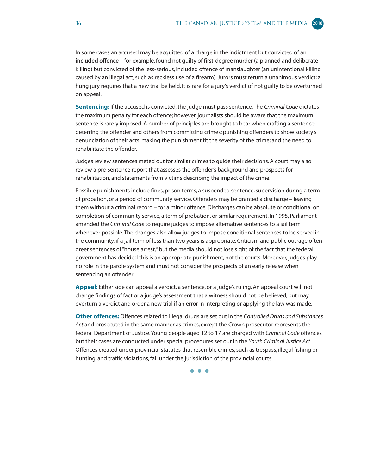In some cases an accused may be acquitted of a charge in the indictment but convicted of an **included offence** – for example, found not guilty of first-degree murder (a planned and deliberate killing) but convicted of the less-serious, included offence of manslaughter (an unintentional killing caused by an illegal act, such as reckless use of a firearm). Jurors must return a unanimous verdict; a hung jury requires that a new trial be held. It is rare for a jury's verdict of not guilty to be overturned on appeal.

**Sentencing:** If the accused is convicted, the judge must pass sentence. The *Criminal Code* dictates the maximum penalty for each offence; however, journalists should be aware that the maximum sentence is rarely imposed. A number of principles are brought to bear when crafting a sentence: deterring the offender and others from committing crimes; punishing offenders to show society's denunciation of their acts; making the punishment fit the severity of the crime; and the need to rehabilitate the offender.

Judges review sentences meted out for similar crimes to guide their decisions. A court may also review a pre-sentence report that assesses the offender's background and prospects for rehabilitation, and statements from victims describing the impact of the crime.

Possible punishments include fines, prison terms, a suspended sentence, supervision during a term of probation, or a period of community service. Offenders may be granted a discharge – leaving them without a criminal record – for a minor offence. Discharges can be absolute or conditional on completion of community service, a term of probation, or similar requirement. In 1995, Parliament amended the *Criminal Code* to require judges to impose alternative sentences to a jail term whenever possible. The changes also allow judges to impose conditional sentences to be served in the community, if a jail term of less than two years is appropriate. Criticism and public outrage often greet sentences of "house arrest," but the media should not lose sight of the fact that the federal government has decided this is an appropriate punishment, not the courts. Moreover, judges play no role in the parole system and must not consider the prospects of an early release when sentencing an offender.

**Appeal:** Either side can appeal a verdict, a sentence, or a judge's ruling. An appeal court will not change findings of fact or a judge's assessment that a witness should not be believed, but may overturn a verdict and order a new trial if an error in interpreting or applying the law was made.

**Other offences:** Offences related to illegal drugs are set out in the *Controlled Drugs and Substances Act* and prosecuted in the same manner as crimes, except the Crown prosecutor represents the federal Department of Justice. Young people aged 12 to 17 are charged with *Criminal Code* offences but their cases are conducted under special procedures set out in the *Youth Criminal Justice Act*. Offences created under provincial statutes that resemble crimes, such as trespass, illegal fishing or hunting, and traffic violations, fall under the jurisdiction of the provincial courts.

● ● ●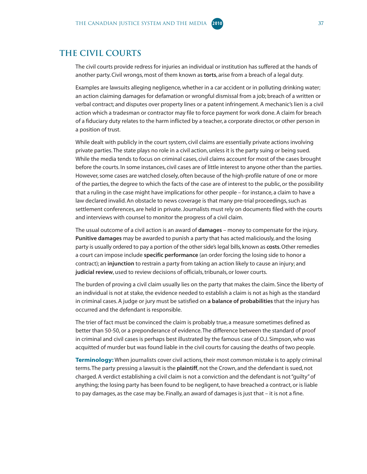#### <span id="page-42-0"></span>**The Civil Courts**

The civil courts provide redress for injuries an individual or institution has suffered at the hands of another party. Civil wrongs, most of them known as **torts**, arise from a breach of a legal duty.

Examples are lawsuits alleging negligence, whether in a car accident or in polluting drinking water; an action claiming damages for defamation or wrongful dismissal from a job; breach of a written or verbal contract; and disputes over property lines or a patent infringement. A mechanic's lien is a civil action which a tradesman or contractor may file to force payment for work done. A claim for breach of a fiduciary duty relates to the harm inflicted by a teacher, a corporate director, or other person in a position of trust.

While dealt with publicly in the court system, civil claims are essentially private actions involving private parties. The state plays no role in a civil action, unless it is the party suing or being sued. While the media tends to focus on criminal cases, civil claims account for most of the cases brought before the courts. In some instances, civil cases are of little interest to anyone other than the parties. However, some cases are watched closely, often because of the high-profile nature of one or more of the parties, the degree to which the facts of the case are of interest to the public, or the possibility that a ruling in the case might have implications for other people – for instance, a claim to have a law declared invalid. An obstacle to news coverage is that many pre-trial proceedings, such as settlement conferences, are held in private. Journalists must rely on documents filed with the courts and interviews with counsel to monitor the progress of a civil claim.

The usual outcome of a civil action is an award of **damages** – money to compensate for the injury. **Punitive damages** may be awarded to punish a party that has acted maliciously, and the losing party is usually ordered to pay a portion of the other side's legal bills, known as **costs**. Other remedies a court can impose include **specific performance** (an order forcing the losing side to honor a contract); an **injunction** to restrain a party from taking an action likely to cause an injury; and **judicial review**, used to review decisions of officials, tribunals, or lower courts.

The burden of proving a civil claim usually lies on the party that makes the claim. Since the liberty of an individual is not at stake, the evidence needed to establish a claim is not as high as the standard in criminal cases. A judge or jury must be satisfied on **a balance of probabilities** that the injury has occurred and the defendant is responsible.

The trier of fact must be convinced the claim is probably true, a measure sometimes defined as better than 50-50, or a preponderance of evidence. The difference between the standard of proof in criminal and civil cases is perhaps best illustrated by the famous case of O.J. Simpson, who was acquitted of murder but was found liable in the civil courts for causing the deaths of two people.

**Terminology:** When journalists cover civil actions, their most common mistake is to apply criminal terms. The party pressing a lawsuit is the **plaintiff**, not the Crown, and the defendant is sued, not charged. A verdict establishing a civil claim is not a conviction and the defendant is not "guilty" of anything; the losing party has been found to be negligent, to have breached a contract, or is liable to pay damages, as the case may be. Finally, an award of damages is just that – it is not a fine.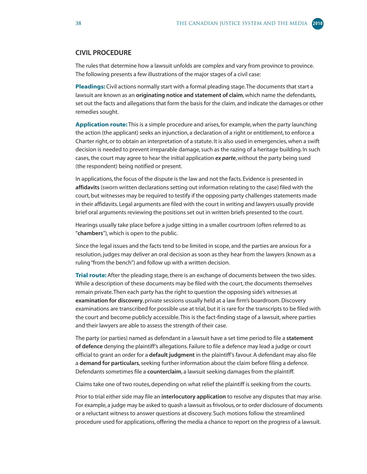#### **CIVIL PROCEDURE**

The rules that determine how a lawsuit unfolds are complex and vary from province to province. The following presents a few illustrations of the major stages of a civil case:

**Pleadings:** Civil actions normally start with a formal pleading stage. The documents that start a lawsuit are known as an **originating notice and statement of claim**, which name the defendants, set out the facts and allegations that form the basis for the claim, and indicate the damages or other remedies sought.

**Application route:** This is a simple procedure and arises, for example, when the party launching the action (the applicant) seeks an injunction, a declaration of a right or entitlement, to enforce a Charter right, or to obtain an interpretation of a statute. It is also used in emergencies, when a swift decision is needed to prevent irreparable damage, such as the razing of a heritage building. In such cases, the court may agree to hear the initial application *ex parte*, without the party being sued (the respondent) being notified or present.

In applications, the focus of the dispute is the law and not the facts. Evidence is presented in **affidavits** (sworn written declarations setting out information relating to the case) filed with the court, but witnesses may be required to testify if the opposing party challenges statements made in their affidavits. Legal arguments are filed with the court in writing and lawyers usually provide brief oral arguments reviewing the positions set out in written briefs presented to the court.

Hearings usually take place before a judge sitting in a smaller courtroom (often referred to as "**chambers**"), which is open to the public.

Since the legal issues and the facts tend to be limited in scope, and the parties are anxious for a resolution, judges may deliver an oral decision as soon as they hear from the lawyers (known as a ruling "from the bench") and follow up with a written decision.

**Trial route:** After the pleading stage, there is an exchange of documents between the two sides. While a description of these documents may be filed with the court, the documents themselves remain private. Then each party has the right to question the opposing side's witnesses at **examination for discovery**, private sessions usually held at a law firm's boardroom. Discovery examinations are transcribed for possible use at trial, but it is rare for the transcripts to be filed with the court and become publicly accessible. This is the fact-finding stage of a lawsuit, where parties and their lawyers are able to assess the strength of their case.

The party (or parties) named as defendant in a lawsuit have a set time period to file a **statement of defence** denying the plaintiff's allegations. Failure to file a defence may lead a judge or court official to grant an order for a **default judgment** in the plaintiff's favour. A defendant may also file a **demand for particulars**, seeking further information about the claim before filing a defence. Defendants sometimes file a **counterclaim**, a lawsuit seeking damages from the plaintiff.

Claims take one of two routes, depending on what relief the plaintiff is seeking from the courts.

Prior to trial either side may file an **interlocutory application** to resolve any disputes that may arise. For example, a judge may be asked to quash a lawsuit as frivolous, or to order disclosure of documents or a reluctant witness to answer questions at discovery. Such motions follow the streamlined procedure used for applications, offering the media a chance to report on the progress of a lawsuit.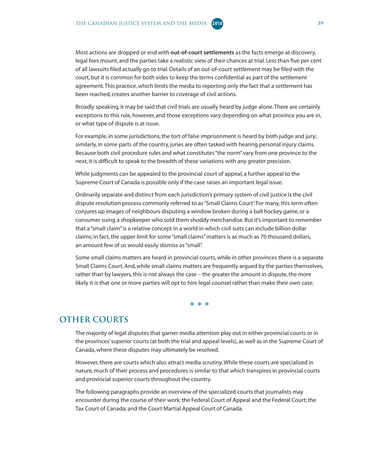<span id="page-44-0"></span>Most actions are dropped or end with **out-of-court settlements** as the facts emerge at discovery, legal fees mount, and the parties take a realistic view of their chances at trial. Less than five per cent of all lawsuits filed actually go to trial. Details of an out-of-court settlement may be filed with the court, but it is common for both sides to keep the terms confidential as part of the settlement agreement. This practice, which limits the media to reporting only the fact that a settlement has been reached, creates another barrier to coverage of civil actions.

Broadly speaking, it may be said that civil trials are usually heard by judge alone. There are certainly exceptions to this rule, however, and those exceptions vary depending on what province you are in, or what type of dispute is at issue.

For example, in some jurisdictions, the tort of false imprisonment is heard by both judge and jury; similarly, in some parts of the country, juries are often tasked with hearing personal injury claims. Because both civil procedure rules and what constitutes "the norm" vary from one province to the next, it is difficult to speak to the breadth of these variations with any greater precision.

While judgments can be appealed to the provincial court of appeal, a further appeal to the Supreme Court of Canada is possible only if the case raises an important legal issue.

Ordinarily separate and distinct from each jurisdiction's primary system of civil justice is the civil dispute resolution process commonly referred to as "Small Claims Court". For many, this term often conjures up images of neighbours disputing a window broken during a ball hockey game, or a consumer suing a shopkeeper who sold them shoddy merchandise. But it's important to remember that a "small claim" is a relative concept in a world in which civil suits can include billion dollar claims; in fact, the upper limit for some "small claims" matters is as much as 70 thousand dollars, an amount few of us would easily dismiss as "small".

Some small claims matters are heard in provincial courts, while in other provinces there is a separate Small Claims Court. And, while small claims matters are frequently argued by the parties themselves, rather than by lawyers, this is not always the case – the greater the amount in dispute, the more likely it is that one or more parties will opt to hire legal counsel rather than make their own case.

● ● ●

#### **OTHER COURTS**

The majority of legal disputes that garner media attention play out in either provincial courts or in the provinces' superior courts (at both the trial and appeal levels), as well as in the Supreme Court of Canada, where these disputes may ultimately be resolved.

However, there are courts which also attract media scrutiny. While these courts are specialized in nature, much of their process and procedures is similar to that which transpires in provincial courts and provincial superior courts throughout the country.

The following paragraphs provide an overview of the specialized courts that journalists may encounter during the course of their work: the Federal Court of Appeal and the Federal Court; the Tax Court of Canada; and the Court Martial Appeal Court of Canada.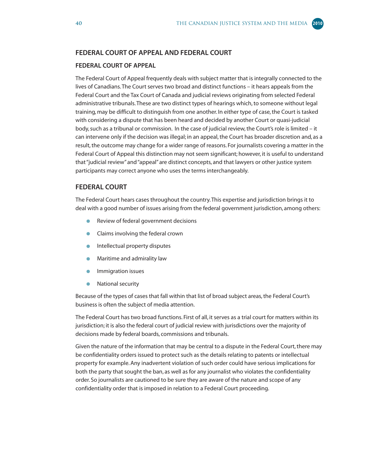#### **FEDERAL COURT OF APPEAL AND FEDERAL COURT**

#### **FEDERAL COURT OF APPEAL**

The Federal Court of Appeal frequently deals with subject matter that is integrally connected to the lives of Canadians. The Court serves two broad and distinct functions – it hears appeals from the Federal Court and the Tax Court of Canada and judicial reviews originating from selected Federal administrative tribunals. These are two distinct types of hearings which, to someone without legal training, may be difficult to distinguish from one another. In either type of case, the Court is tasked with considering a dispute that has been heard and decided by another Court or quasi-judicial body, such as a tribunal or commission. In the case of judicial review, the Court's role is limited – it can intervene only if the decision was illegal; in an appeal, the Court has broader discretion and, as a result, the outcome may change for a wider range of reasons. For journalists covering a matter in the Federal Court of Appeal this distinction may not seem significant; however, it is useful to understand that "judicial review" and "appeal" are distinct concepts, and that lawyers or other justice system participants may correct anyone who uses the terms interchangeably.

#### **FEDERAL COURT**

The Federal Court hears cases throughout the country. This expertise and jurisdiction brings it to deal with a good number of issues arising from the federal government jurisdiction, among others:

- $\bullet$ Review of federal government decisions
- $\bullet$ Claims involving the federal crown
- Intellectual property disputes  $\bullet$
- Maritime and admirality law  $\bullet$
- $\bullet$ Immigration issues
- $\bullet$ National security

Because of the types of cases that fall within that list of broad subject areas, the Federal Court's business is often the subject of media attention.

The Federal Court has two broad functions. First of all, it serves as a trial court for matters within its jurisdiction; it is also the federal court of judicial review with jurisdictions over the majority of decisions made by federal boards, commissions and tribunals.

Given the nature of the information that may be central to a dispute in the Federal Court, there may be confidentiality orders issued to protect such as the details relating to patents or intellectual property for example. Any inadvertent violation of such order could have serious implications for both the party that sought the ban, as well as for any journalist who violates the confidentiality order. So journalists are cautioned to be sure they are aware of the nature and scope of any confidentiality order that is imposed in relation to a Federal Court proceeding.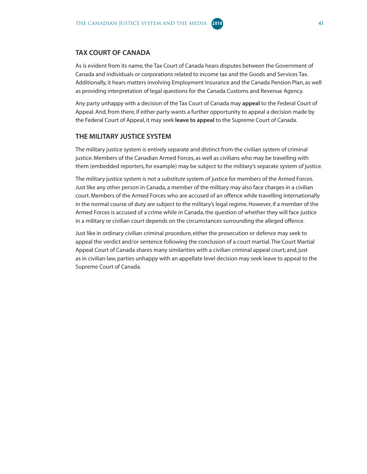As is evident from its name, the Tax Court of Canada hears disputes between the Government of Canada and individuals or corporations related to income tax and the Goods and Services Tax. Additionally, it hears matters involving Employment Insurance and the Canada Pension Plan, as well as providing interpretation of legal questions for the Canada Customs and Revenue Agency.

Any party unhappy with a decision of the Tax Court of Canada may **appeal** to the Federal Court of Appeal. And, from there, if either party wants a further opportunity to appeal a decision made by the Federal Court of Appeal, it may seek **leave to appeal** to the Supreme Court of Canada.

#### **THE MILITARY JUSTICE SYSTEM**

The military justice system is entirely separate and distinct from the civilian system of criminal justice. Members of the Canadian Armed Forces, as well as civilians who may be travelling with them (embedded reporters, for example) may be subject to the military's separate system of justice.

The military justice system is not a *substitute* system of justice for members of the Armed Forces. Just like any other person in Canada, a member of the military may also face charges in a civilian court. Members of the Armed Forces who are accused of an offence while travelling internationally in the normal course of duty are subject to the military's legal regime. However, if a member of the Armed Forces is accused of a crime while in Canada, the question of whether they will face justice in a military or civilian court depends on the circumstances surrounding the alleged offence.

Just like in ordinary civilian criminal procedure, either the prosecution or defence may seek to appeal the verdict and/or sentence following the conclusion of a court martial. The Court Martial Appeal Court of Canada shares many similarities with a civilian criminal appeal court; and, just as in civilian law, parties unhappy with an appellate level decision may seek leave to appeal to the Supreme Court of Canada.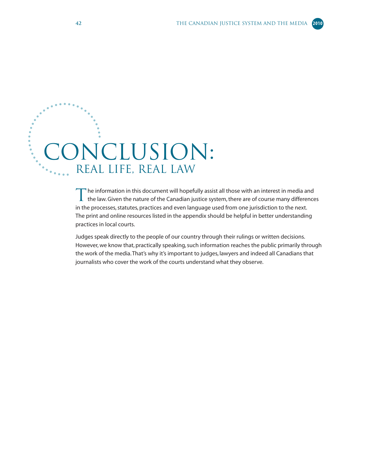# <span id="page-47-0"></span>ONCLUSION: Real Life, Real Law

The information in this document will hopefully assist all those with an interest in media and<br>
the law. Given the nature of the Canadian justice system, there are of course many differences in the processes, statutes, practices and even language used from one jurisdiction to the next. The print and online resources listed in the appendix should be helpful in better understanding practices in local courts.

Judges speak directly to the people of our country through their rulings or written decisions. However, we know that, practically speaking, such information reaches the public primarily through the work of the media. That's why it's important to judges, lawyers and indeed all Canadians that journalists who cover the work of the courts understand what they observe.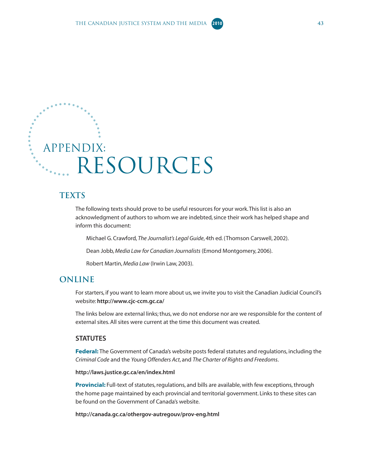<span id="page-48-0"></span>

#### **TEXTS**

The following texts should prove to be useful resources for your work. This list is also an acknowledgment of authors to whom we are indebted, since their work has helped shape and inform this document:

Michael G. Crawford, *The Journalist's Legal Guide*, 4th ed. (Thomson Carswell, 2002).

Dean Jobb, *Media Law for Canadian Journalists* (Emond Montgomery, 2006).

Robert Martin, *Media Law* (Irwin Law, 2003).

#### **ONLINE**

For starters, if you want to learn more about us, we invite you to visit the Canadian Judicial Council's website: **<http://www.cjc-ccm.gc.ca/>**

The links below are external links; thus, we do not endorse nor are we responsible for the content of external sites. All sites were current at the time this document was created.

#### **STATUTES**

**Federal:** The Government of Canada's website posts federal statutes and regulations, including the *Criminal Code* and the *Young Offenders Act*, and *The Charter of Rights and Freedoms*.

#### **<http://laws.justice.gc.ca/en/index.html>**

**Provincial:** Full-text of statutes, regulations, and bills are available, with few exceptions, through the home page maintained by each provincial and territorial government. Links to these sites can be found on the Government of Canada's website.

**<http://canada.gc.ca/othergov-autregouv/prov-eng.html>**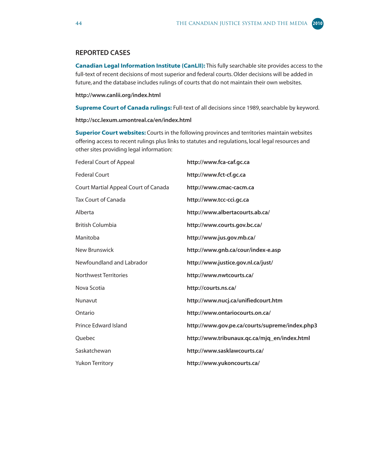#### **REPORTED CASES**

**Canadian Legal Information Institute (CanLII):** This fully searchable site provides access to the full-text of recent decisions of most superior and federal courts. Older decisions will be added in future, and the database includes rulings of courts that do not maintain their own websites.

**<http://www.canlii.org/index.html>**

**Supreme Court of Canada rulings:** Full-text of all decisions since 1989, searchable by keyword.

**<http://scc.lexum.umontreal.ca/en/index.html>**

**Superior Court websites:** Courts in the following provinces and territories maintain websites offering access to recent rulings plus links to statutes and regulations, local legal resources and other sites providing legal information:

| <b>Federal Court of Appeal</b>       | http://www.fca-caf.gc.ca                       |
|--------------------------------------|------------------------------------------------|
| <b>Federal Court</b>                 | http://www.fct-cf.gc.ca                        |
| Court Martial Appeal Court of Canada | http://www.cmac-cacm.ca                        |
| <b>Tax Court of Canada</b>           | http://www.tcc-cci.gc.ca                       |
| Alberta                              | http://www.albertacourts.ab.ca/                |
| <b>British Columbia</b>              | http://www.courts.gov.bc.ca/                   |
| Manitoba                             | http://www.jus.gov.mb.ca/                      |
| New Brunswick                        | http://www.gnb.ca/cour/index-e.asp             |
| Newfoundland and Labrador            | http://www.justice.gov.nl.ca/just/             |
| <b>Northwest Territories</b>         | http://www.nwtcourts.ca/                       |
| Nova Scotia                          | http://courts.ns.ca/                           |
| Nunavut                              | http://www.nucj.ca/unifiedcourt.htm            |
| Ontario                              | http://www.ontariocourts.on.ca/                |
| Prince Edward Island                 | http://www.gov.pe.ca/courts/supreme/index.php3 |
| Ouebec                               | http://www.tribunaux.qc.ca/mjq_en/index.html   |
| Saskatchewan                         | http://www.sasklawcourts.ca/                   |
| <b>Yukon Territory</b>               | http://www.yukoncourts.ca/                     |